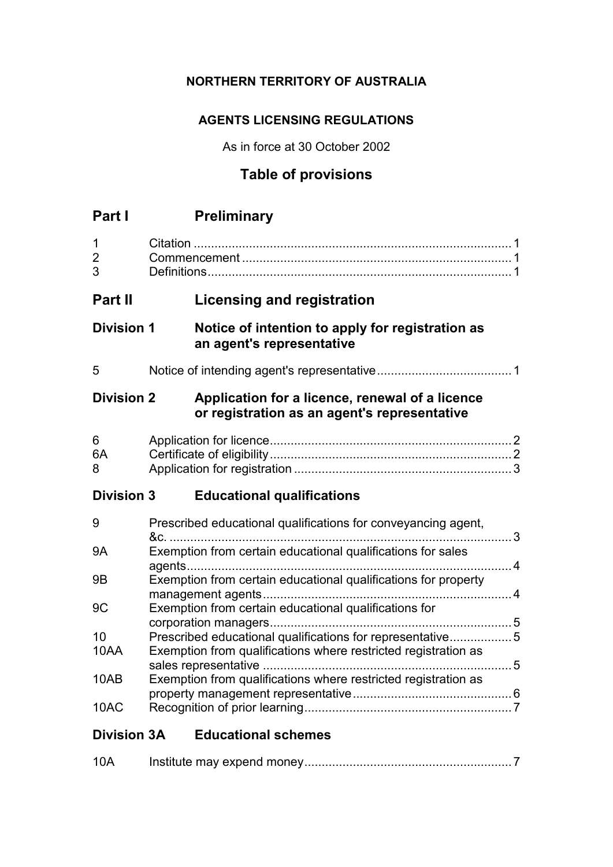## **NORTHERN TERRITORY OF AUSTRALIA**

## **AGENTS LICENSING REGULATIONS**

As in force at 30 October 2002

# **Table of provisions**

| Part I                   |                                                                | <b>Preliminary</b>                                                                                                          |  |
|--------------------------|----------------------------------------------------------------|-----------------------------------------------------------------------------------------------------------------------------|--|
| 1<br>$\overline{2}$<br>3 |                                                                |                                                                                                                             |  |
| Part II                  |                                                                | <b>Licensing and registration</b>                                                                                           |  |
| <b>Division 1</b>        |                                                                | Notice of intention to apply for registration as<br>an agent's representative                                               |  |
| 5                        |                                                                |                                                                                                                             |  |
| <b>Division 2</b>        |                                                                | Application for a licence, renewal of a licence<br>or registration as an agent's representative                             |  |
| 6<br>6A<br>8             |                                                                |                                                                                                                             |  |
| <b>Division 3</b>        |                                                                | <b>Educational qualifications</b>                                                                                           |  |
| 9                        |                                                                | Prescribed educational qualifications for conveyancing agent,                                                               |  |
| <b>9A</b>                |                                                                | Exemption from certain educational qualifications for sales                                                                 |  |
| 9B                       |                                                                | Exemption from certain educational qualifications for property                                                              |  |
| 9C                       |                                                                | Exemption from certain educational qualifications for                                                                       |  |
| 10<br>10AA               |                                                                | Prescribed educational qualifications for representative5<br>Exemption from qualifications where restricted registration as |  |
| 10AB                     | Exemption from qualifications where restricted registration as |                                                                                                                             |  |
| 10AC                     |                                                                |                                                                                                                             |  |
| <b>Division 3A</b>       |                                                                | <b>Educational schemes</b>                                                                                                  |  |

| 10A |  |  |
|-----|--|--|
|-----|--|--|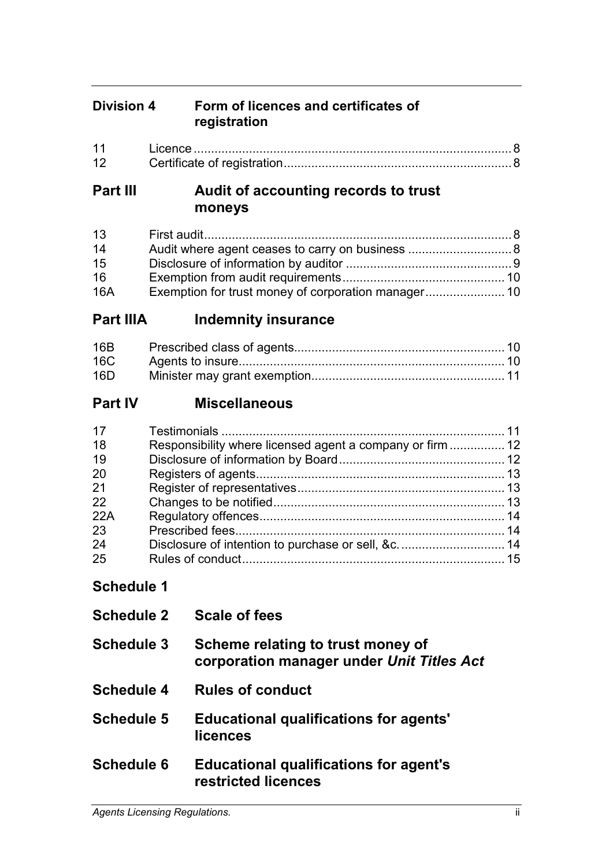## **Division 4 Form of licences and certificates of registration**

| 11  |  |
|-----|--|
| -12 |  |

## **Part III Audit of accounting records to trust moneys**

| 13  |  |
|-----|--|
| 14  |  |
| 15  |  |
| 16  |  |
| 16A |  |

## **Part IIIA Indemnity insurance**

| 16C |  |
|-----|--|
| 16D |  |

# **Part IV Miscellaneous**

# **Schedule 1**

| <b>Schedule 2</b> | <b>Scale of fees</b>                                                           |
|-------------------|--------------------------------------------------------------------------------|
| <b>Schedule 3</b> | Scheme relating to trust money of<br>corporation manager under Unit Titles Act |
| <b>Schedule 4</b> | <b>Rules of conduct</b>                                                        |
| <b>Schedule 5</b> | <b>Educational qualifications for agents'</b><br>licences                      |
| <b>Schedule 6</b> | <b>Educational qualifications for agent's</b><br>restricted licences           |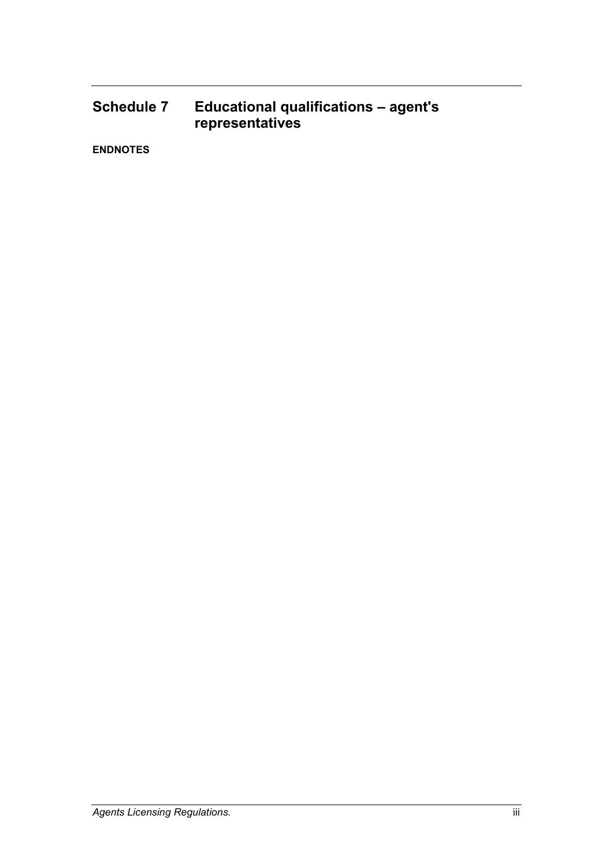## **Schedule 7 Educational qualifications – agent's representatives**

**ENDNOTES**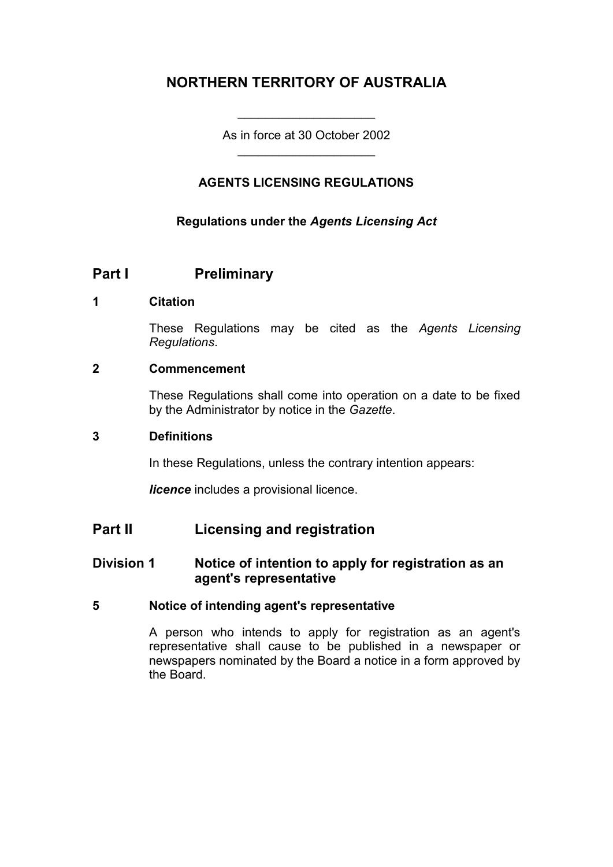## **NORTHERN TERRITORY OF AUSTRALIA**

As in force at 30 October 2002 \_\_\_\_\_\_\_\_\_\_\_\_\_\_\_\_\_\_\_\_

\_\_\_\_\_\_\_\_\_\_\_\_\_\_\_\_\_\_\_\_

## **AGENTS LICENSING REGULATIONS**

### **Regulations under the** *Agents Licensing Act*

## **Part I Preliminary**

#### **1 Citation**

These Regulations may be cited as the *Agents Licensing Regulations*.

#### **2 Commencement**

These Regulations shall come into operation on a date to be fixed by the Administrator by notice in the *Gazette*.

#### **3 Definitions**

In these Regulations, unless the contrary intention appears:

*licence* includes a provisional licence.

## **Part II Licensing and registration**

## **Division 1 Notice of intention to apply for registration as an agent's representative**

#### **5 Notice of intending agent's representative**

A person who intends to apply for registration as an agent's representative shall cause to be published in a newspaper or newspapers nominated by the Board a notice in a form approved by the Board.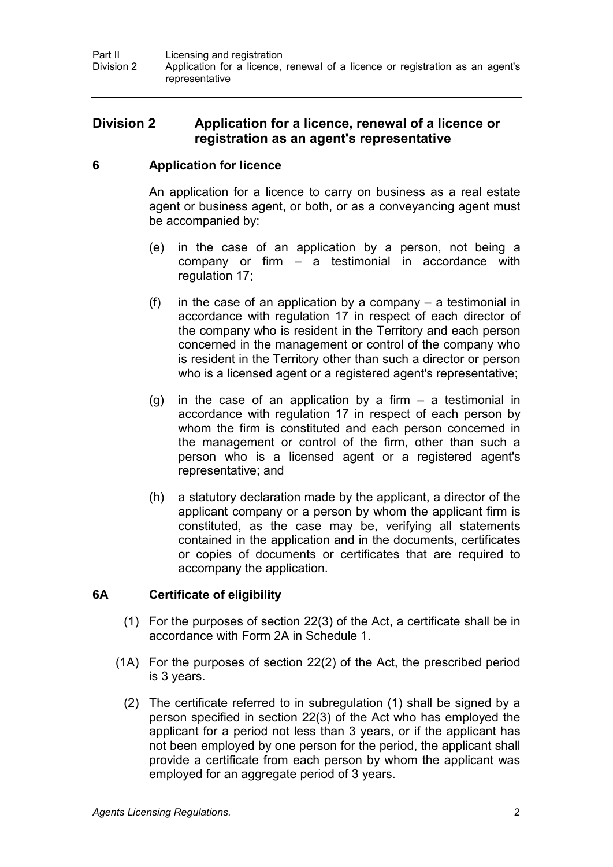## **Division 2 Application for a licence, renewal of a licence or registration as an agent's representative**

## **6 Application for licence**

An application for a licence to carry on business as a real estate agent or business agent, or both, or as a conveyancing agent must be accompanied by:

- (e) in the case of an application by a person, not being a company or firm – a testimonial in accordance with regulation 17;
- (f) in the case of an application by a company  $-$  a testimonial in accordance with regulation 17 in respect of each director of the company who is resident in the Territory and each person concerned in the management or control of the company who is resident in the Territory other than such a director or person who is a licensed agent or a registered agent's representative;
- $(g)$  in the case of an application by a firm a testimonial in accordance with regulation 17 in respect of each person by whom the firm is constituted and each person concerned in the management or control of the firm, other than such a person who is a licensed agent or a registered agent's representative; and
- (h) a statutory declaration made by the applicant, a director of the applicant company or a person by whom the applicant firm is constituted, as the case may be, verifying all statements contained in the application and in the documents, certificates or copies of documents or certificates that are required to accompany the application.

## **6A Certificate of eligibility**

- (1) For the purposes of section 22(3) of the Act, a certificate shall be in accordance with Form 2A in Schedule 1.
- (1A) For the purposes of section 22(2) of the Act, the prescribed period is 3 years.
	- (2) The certificate referred to in subregulation (1) shall be signed by a person specified in section 22(3) of the Act who has employed the applicant for a period not less than 3 years, or if the applicant has not been employed by one person for the period, the applicant shall provide a certificate from each person by whom the applicant was employed for an aggregate period of 3 years.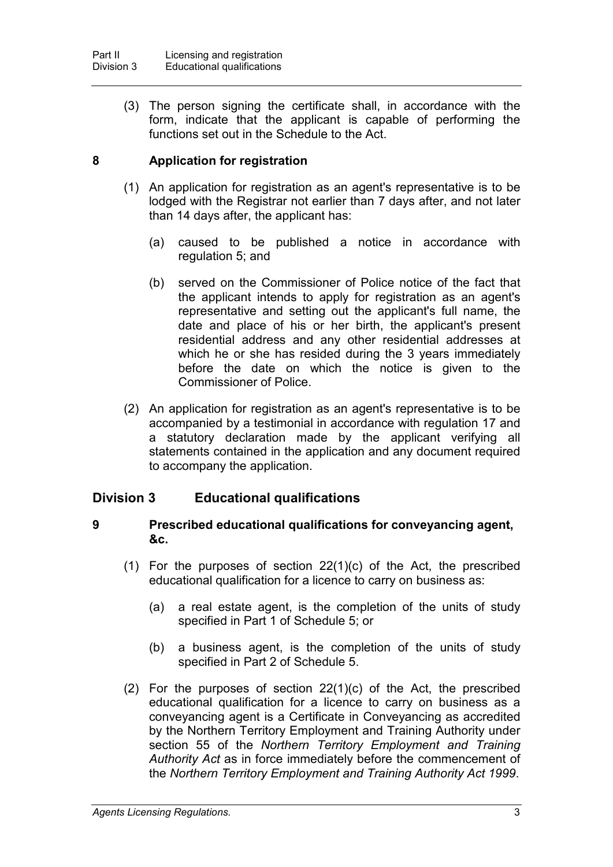(3) The person signing the certificate shall, in accordance with the form, indicate that the applicant is capable of performing the functions set out in the Schedule to the Act.

## **8 Application for registration**

- (1) An application for registration as an agent's representative is to be lodged with the Registrar not earlier than 7 days after, and not later than 14 days after, the applicant has:
	- (a) caused to be published a notice in accordance with regulation 5; and
	- (b) served on the Commissioner of Police notice of the fact that the applicant intends to apply for registration as an agent's representative and setting out the applicant's full name, the date and place of his or her birth, the applicant's present residential address and any other residential addresses at which he or she has resided during the 3 years immediately before the date on which the notice is given to the Commissioner of Police.
- (2) An application for registration as an agent's representative is to be accompanied by a testimonial in accordance with regulation 17 and a statutory declaration made by the applicant verifying all statements contained in the application and any document required to accompany the application.

## **Division 3 Educational qualifications**

#### **9 Prescribed educational qualifications for conveyancing agent, &c.**

- (1) For the purposes of section 22(1)(c) of the Act, the prescribed educational qualification for a licence to carry on business as:
	- (a) a real estate agent, is the completion of the units of study specified in Part 1 of Schedule 5; or
	- (b) a business agent, is the completion of the units of study specified in Part 2 of Schedule 5.
- (2) For the purposes of section 22(1)(c) of the Act, the prescribed educational qualification for a licence to carry on business as a conveyancing agent is a Certificate in Conveyancing as accredited by the Northern Territory Employment and Training Authority under section 55 of the *Northern Territory Employment and Training Authority Act* as in force immediately before the commencement of the *Northern Territory Employment and Training Authority Act 1999*.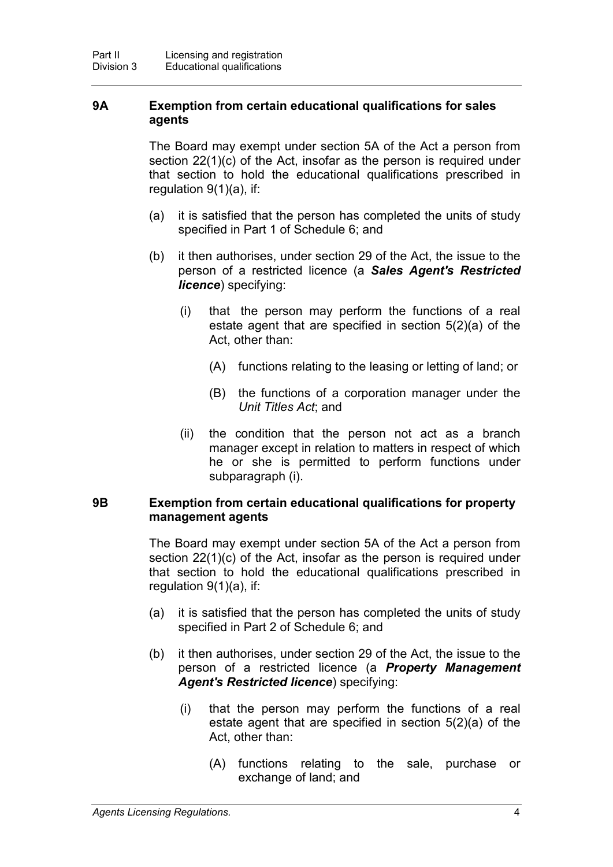#### **9A Exemption from certain educational qualifications for sales agents**

The Board may exempt under section 5A of the Act a person from section 22(1)(c) of the Act, insofar as the person is required under that section to hold the educational qualifications prescribed in regulation 9(1)(a), if:

- (a) it is satisfied that the person has completed the units of study specified in Part 1 of Schedule 6; and
- (b) it then authorises, under section 29 of the Act, the issue to the person of a restricted licence (a *Sales Agent's Restricted licence*) specifying:
	- (i) that the person may perform the functions of a real estate agent that are specified in section 5(2)(a) of the Act, other than:
		- (A) functions relating to the leasing or letting of land; or
		- (B) the functions of a corporation manager under the *Unit Titles Act*; and
	- (ii) the condition that the person not act as a branch manager except in relation to matters in respect of which he or she is permitted to perform functions under subparagraph (i).

#### **9B Exemption from certain educational qualifications for property management agents**

The Board may exempt under section 5A of the Act a person from section 22(1)(c) of the Act, insofar as the person is required under that section to hold the educational qualifications prescribed in regulation 9(1)(a), if:

- (a) it is satisfied that the person has completed the units of study specified in Part 2 of Schedule 6; and
- (b) it then authorises, under section 29 of the Act, the issue to the person of a restricted licence (a *Property Management Agent's Restricted licence*) specifying:
	- (i) that the person may perform the functions of a real estate agent that are specified in section 5(2)(a) of the Act, other than:
		- (A) functions relating to the sale, purchase or exchange of land; and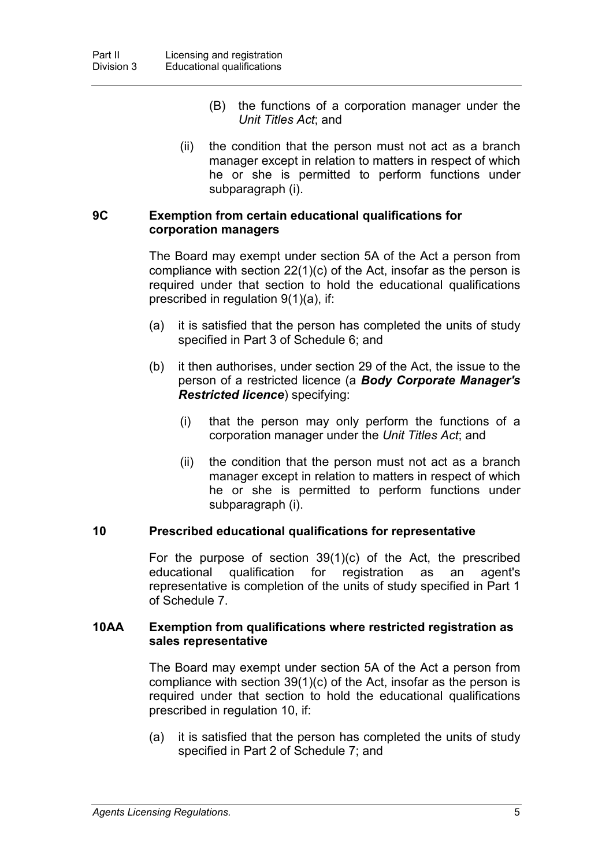- (B) the functions of a corporation manager under the *Unit Titles Act*; and
- (ii) the condition that the person must not act as a branch manager except in relation to matters in respect of which he or she is permitted to perform functions under subparagraph (i).

#### **9C Exemption from certain educational qualifications for corporation managers**

The Board may exempt under section 5A of the Act a person from compliance with section 22(1)(c) of the Act, insofar as the person is required under that section to hold the educational qualifications prescribed in regulation 9(1)(a), if:

- (a) it is satisfied that the person has completed the units of study specified in Part 3 of Schedule 6; and
- (b) it then authorises, under section 29 of the Act, the issue to the person of a restricted licence (a *Body Corporate Manager's Restricted licence*) specifying:
	- (i) that the person may only perform the functions of a corporation manager under the *Unit Titles Act*; and
	- (ii) the condition that the person must not act as a branch manager except in relation to matters in respect of which he or she is permitted to perform functions under subparagraph (i).

#### **10 Prescribed educational qualifications for representative**

For the purpose of section 39(1)(c) of the Act, the prescribed educational qualification for registration as an agent's representative is completion of the units of study specified in Part 1 of Schedule 7.

#### **10AA Exemption from qualifications where restricted registration as sales representative**

The Board may exempt under section 5A of the Act a person from compliance with section 39(1)(c) of the Act, insofar as the person is required under that section to hold the educational qualifications prescribed in regulation 10, if:

(a) it is satisfied that the person has completed the units of study specified in Part 2 of Schedule 7; and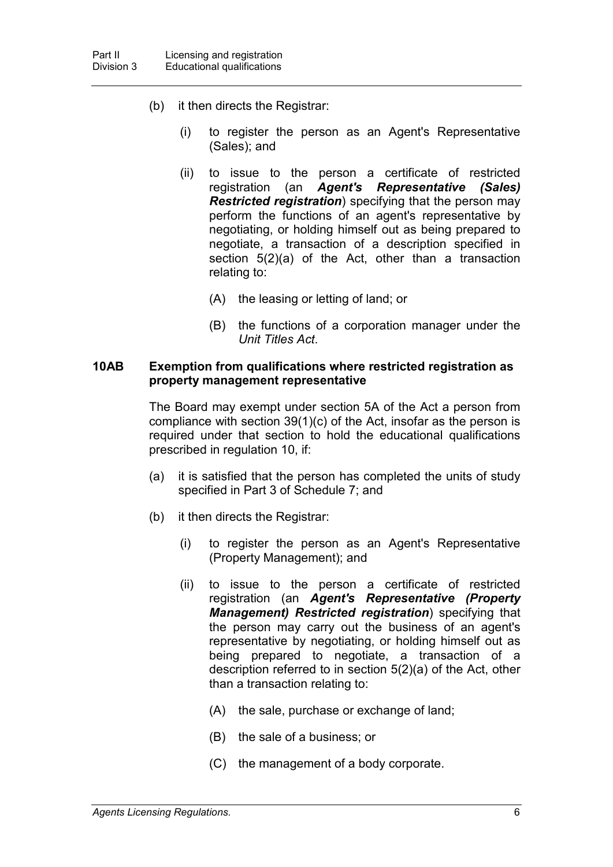- (b) it then directs the Registrar:
	- (i) to register the person as an Agent's Representative (Sales); and
	- (ii) to issue to the person a certificate of restricted registration (an *Agent's Representative (Sales) Restricted registration*) specifying that the person may perform the functions of an agent's representative by negotiating, or holding himself out as being prepared to negotiate, a transaction of a description specified in section 5(2)(a) of the Act, other than a transaction relating to:
		- (A) the leasing or letting of land; or
		- (B) the functions of a corporation manager under the *Unit Titles Act*.

#### **10AB Exemption from qualifications where restricted registration as property management representative**

The Board may exempt under section 5A of the Act a person from compliance with section 39(1)(c) of the Act, insofar as the person is required under that section to hold the educational qualifications prescribed in regulation 10, if:

- (a) it is satisfied that the person has completed the units of study specified in Part 3 of Schedule 7; and
- (b) it then directs the Registrar:
	- (i) to register the person as an Agent's Representative (Property Management); and
	- (ii) to issue to the person a certificate of restricted registration (an *Agent's Representative (Property Management) Restricted registration*) specifying that the person may carry out the business of an agent's representative by negotiating, or holding himself out as being prepared to negotiate, a transaction of a description referred to in section 5(2)(a) of the Act, other than a transaction relating to:
		- (A) the sale, purchase or exchange of land;
		- (B) the sale of a business; or
		- (C) the management of a body corporate.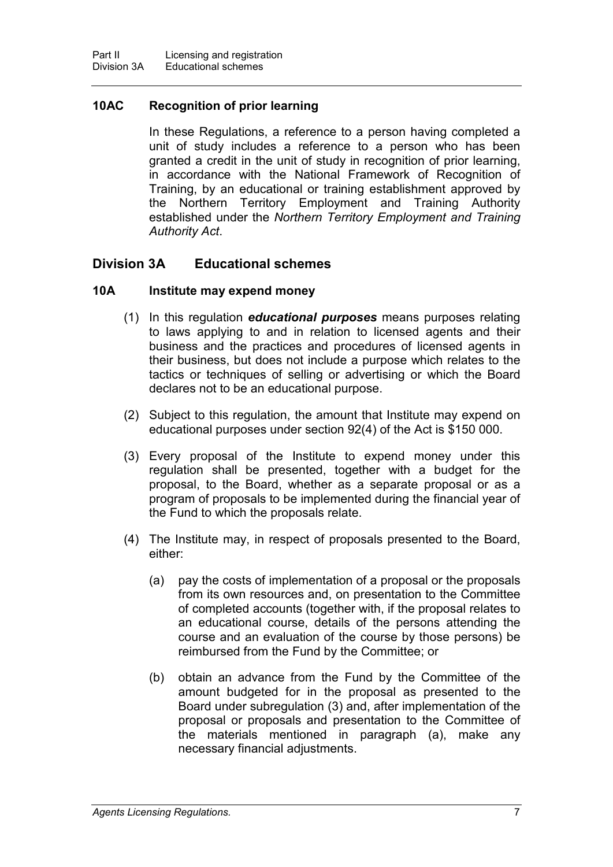## **10AC Recognition of prior learning**

In these Regulations, a reference to a person having completed a unit of study includes a reference to a person who has been granted a credit in the unit of study in recognition of prior learning, in accordance with the National Framework of Recognition of Training, by an educational or training establishment approved by the Northern Territory Employment and Training Authority established under the *Northern Territory Employment and Training Authority Act*.

## **Division 3A Educational schemes**

### **10A Institute may expend money**

- (1) In this regulation *educational purposes* means purposes relating to laws applying to and in relation to licensed agents and their business and the practices and procedures of licensed agents in their business, but does not include a purpose which relates to the tactics or techniques of selling or advertising or which the Board declares not to be an educational purpose.
- (2) Subject to this regulation, the amount that Institute may expend on educational purposes under section 92(4) of the Act is \$150 000.
- (3) Every proposal of the Institute to expend money under this regulation shall be presented, together with a budget for the proposal, to the Board, whether as a separate proposal or as a program of proposals to be implemented during the financial year of the Fund to which the proposals relate.
- (4) The Institute may, in respect of proposals presented to the Board, either:
	- (a) pay the costs of implementation of a proposal or the proposals from its own resources and, on presentation to the Committee of completed accounts (together with, if the proposal relates to an educational course, details of the persons attending the course and an evaluation of the course by those persons) be reimbursed from the Fund by the Committee; or
	- (b) obtain an advance from the Fund by the Committee of the amount budgeted for in the proposal as presented to the Board under subregulation (3) and, after implementation of the proposal or proposals and presentation to the Committee of the materials mentioned in paragraph (a), make any necessary financial adjustments.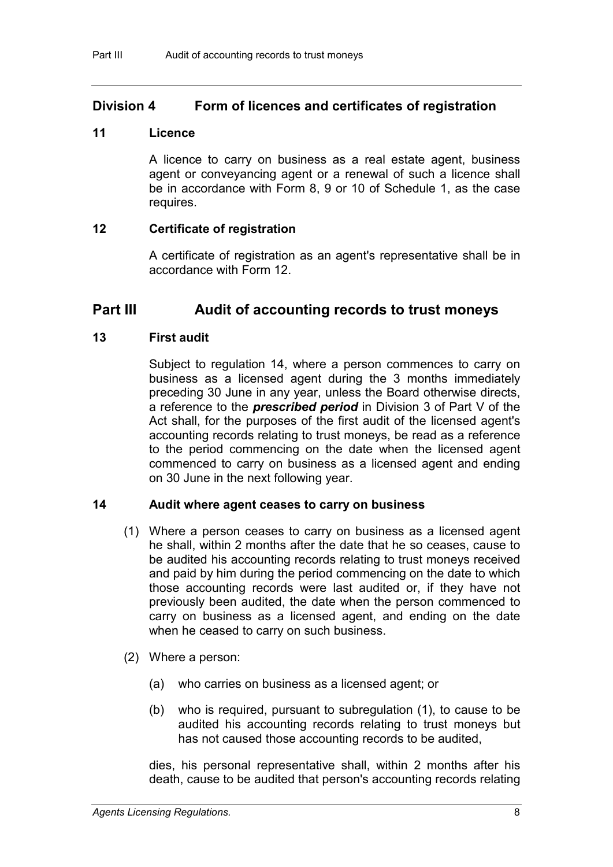## **Division 4 Form of licences and certificates of registration**

## **11 Licence**

A licence to carry on business as a real estate agent, business agent or conveyancing agent or a renewal of such a licence shall be in accordance with Form 8, 9 or 10 of Schedule 1, as the case requires.

## **12 Certificate of registration**

A certificate of registration as an agent's representative shall be in accordance with Form 12.

## **Part III Audit of accounting records to trust moneys**

## **13 First audit**

Subject to regulation 14, where a person commences to carry on business as a licensed agent during the 3 months immediately preceding 30 June in any year, unless the Board otherwise directs, a reference to the *prescribed period* in Division 3 of Part V of the Act shall, for the purposes of the first audit of the licensed agent's accounting records relating to trust moneys, be read as a reference to the period commencing on the date when the licensed agent commenced to carry on business as a licensed agent and ending on 30 June in the next following year.

## **14 Audit where agent ceases to carry on business**

- (1) Where a person ceases to carry on business as a licensed agent he shall, within 2 months after the date that he so ceases, cause to be audited his accounting records relating to trust moneys received and paid by him during the period commencing on the date to which those accounting records were last audited or, if they have not previously been audited, the date when the person commenced to carry on business as a licensed agent, and ending on the date when he ceased to carry on such business.
- (2) Where a person:
	- (a) who carries on business as a licensed agent; or
	- (b) who is required, pursuant to subregulation (1), to cause to be audited his accounting records relating to trust moneys but has not caused those accounting records to be audited,

dies, his personal representative shall, within 2 months after his death, cause to be audited that person's accounting records relating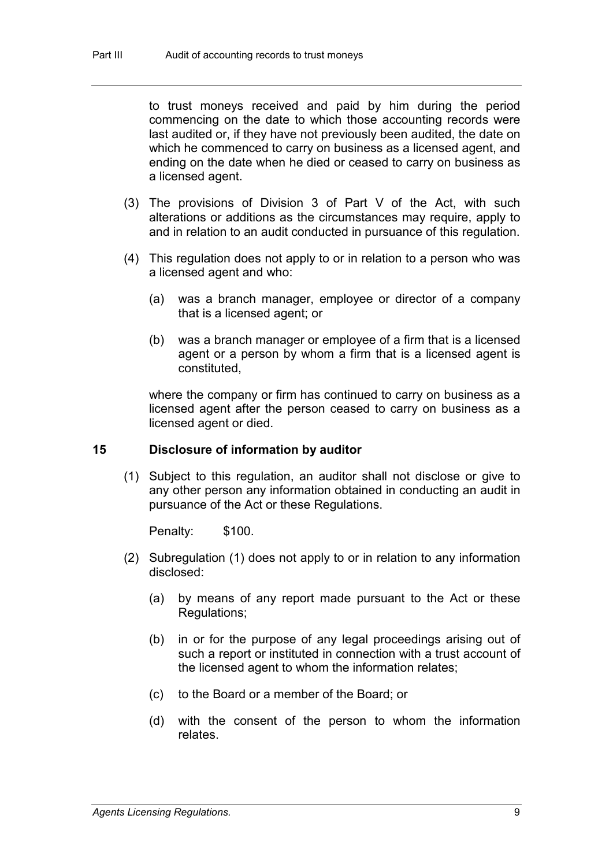to trust moneys received and paid by him during the period commencing on the date to which those accounting records were last audited or, if they have not previously been audited, the date on which he commenced to carry on business as a licensed agent, and ending on the date when he died or ceased to carry on business as a licensed agent.

- (3) The provisions of Division 3 of Part V of the Act, with such alterations or additions as the circumstances may require, apply to and in relation to an audit conducted in pursuance of this regulation.
- (4) This regulation does not apply to or in relation to a person who was a licensed agent and who:
	- (a) was a branch manager, employee or director of a company that is a licensed agent; or
	- (b) was a branch manager or employee of a firm that is a licensed agent or a person by whom a firm that is a licensed agent is constituted,

where the company or firm has continued to carry on business as a licensed agent after the person ceased to carry on business as a licensed agent or died.

#### **15 Disclosure of information by auditor**

(1) Subject to this regulation, an auditor shall not disclose or give to any other person any information obtained in conducting an audit in pursuance of the Act or these Regulations.

Penalty: \$100.

- (2) Subregulation (1) does not apply to or in relation to any information disclosed:
	- (a) by means of any report made pursuant to the Act or these Regulations;
	- (b) in or for the purpose of any legal proceedings arising out of such a report or instituted in connection with a trust account of the licensed agent to whom the information relates;
	- (c) to the Board or a member of the Board; or
	- (d) with the consent of the person to whom the information relates.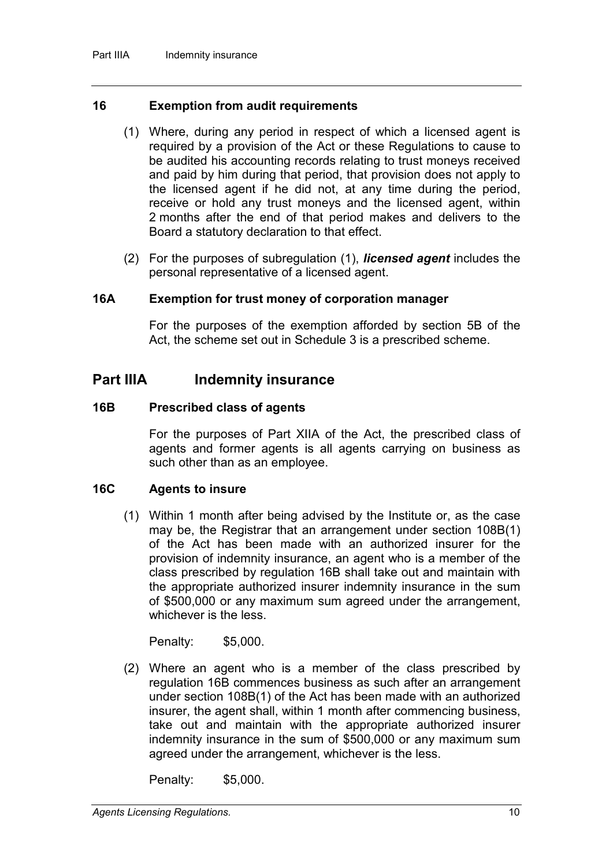#### **16 Exemption from audit requirements**

- (1) Where, during any period in respect of which a licensed agent is required by a provision of the Act or these Regulations to cause to be audited his accounting records relating to trust moneys received and paid by him during that period, that provision does not apply to the licensed agent if he did not, at any time during the period, receive or hold any trust moneys and the licensed agent, within 2 months after the end of that period makes and delivers to the Board a statutory declaration to that effect.
- (2) For the purposes of subregulation (1), *licensed agent* includes the personal representative of a licensed agent.

#### **16A Exemption for trust money of corporation manager**

For the purposes of the exemption afforded by section 5B of the Act, the scheme set out in Schedule 3 is a prescribed scheme.

## **Part IIIA Indemnity insurance**

#### **16B Prescribed class of agents**

For the purposes of Part XIIA of the Act, the prescribed class of agents and former agents is all agents carrying on business as such other than as an employee.

#### **16C Agents to insure**

(1) Within 1 month after being advised by the Institute or, as the case may be, the Registrar that an arrangement under section 108B(1) of the Act has been made with an authorized insurer for the provision of indemnity insurance, an agent who is a member of the class prescribed by regulation 16B shall take out and maintain with the appropriate authorized insurer indemnity insurance in the sum of \$500,000 or any maximum sum agreed under the arrangement, whichever is the less.

Penalty: \$5,000.

(2) Where an agent who is a member of the class prescribed by regulation 16B commences business as such after an arrangement under section 108B(1) of the Act has been made with an authorized insurer, the agent shall, within 1 month after commencing business, take out and maintain with the appropriate authorized insurer indemnity insurance in the sum of \$500,000 or any maximum sum agreed under the arrangement, whichever is the less.

Penalty: \$5,000.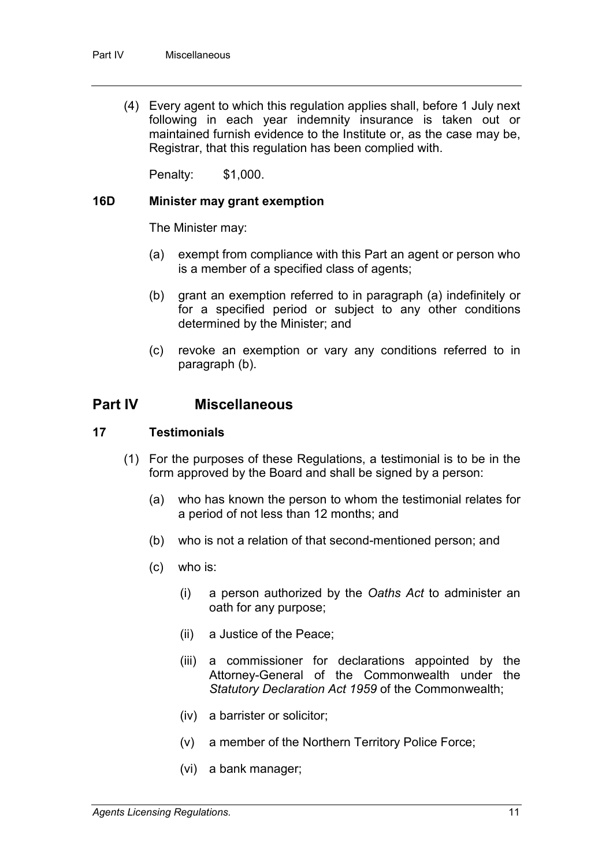(4) Every agent to which this regulation applies shall, before 1 July next following in each year indemnity insurance is taken out or maintained furnish evidence to the Institute or, as the case may be, Registrar, that this regulation has been complied with.

Penalty: \$1,000.

#### **16D Minister may grant exemption**

The Minister may:

- (a) exempt from compliance with this Part an agent or person who is a member of a specified class of agents;
- (b) grant an exemption referred to in paragraph (a) indefinitely or for a specified period or subject to any other conditions determined by the Minister; and
- (c) revoke an exemption or vary any conditions referred to in paragraph (b).

## **Part IV Miscellaneous**

#### **17 Testimonials**

- (1) For the purposes of these Regulations, a testimonial is to be in the form approved by the Board and shall be signed by a person:
	- (a) who has known the person to whom the testimonial relates for a period of not less than 12 months; and
	- (b) who is not a relation of that second-mentioned person; and
	- (c) who is:
		- (i) a person authorized by the *Oaths Act* to administer an oath for any purpose;
		- (ii) a Justice of the Peace;
		- (iii) a commissioner for declarations appointed by the Attorney-General of the Commonwealth under the *Statutory Declaration Act 1959* of the Commonwealth;
		- (iv) a barrister or solicitor;
		- (v) a member of the Northern Territory Police Force;
		- (vi) a bank manager;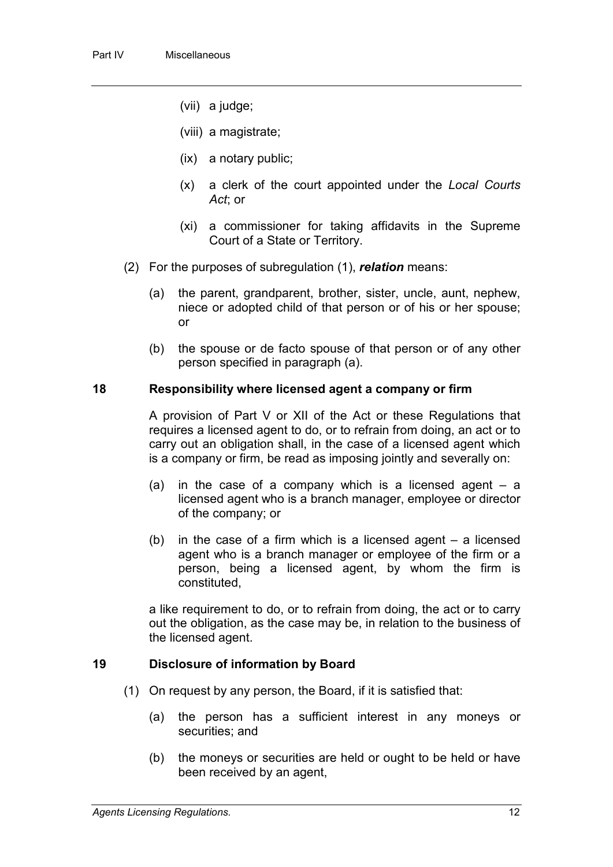- (vii) a judge;
- (viii) a magistrate;
- (ix) a notary public;
- (x) a clerk of the court appointed under the *Local Courts Act*; or
- (xi) a commissioner for taking affidavits in the Supreme Court of a State or Territory.
- (2) For the purposes of subregulation (1), *relation* means:
	- (a) the parent, grandparent, brother, sister, uncle, aunt, nephew, niece or adopted child of that person or of his or her spouse; or
	- (b) the spouse or de facto spouse of that person or of any other person specified in paragraph (a).

#### **18 Responsibility where licensed agent a company or firm**

A provision of Part V or XII of the Act or these Regulations that requires a licensed agent to do, or to refrain from doing, an act or to carry out an obligation shall, in the case of a licensed agent which is a company or firm, be read as imposing jointly and severally on:

- (a) in the case of a company which is a licensed agent  $-$  a licensed agent who is a branch manager, employee or director of the company; or
- (b) in the case of a firm which is a licensed agent a licensed agent who is a branch manager or employee of the firm or a person, being a licensed agent, by whom the firm is constituted,

a like requirement to do, or to refrain from doing, the act or to carry out the obligation, as the case may be, in relation to the business of the licensed agent.

#### **19 Disclosure of information by Board**

- (1) On request by any person, the Board, if it is satisfied that:
	- (a) the person has a sufficient interest in any moneys or securities; and
	- (b) the moneys or securities are held or ought to be held or have been received by an agent,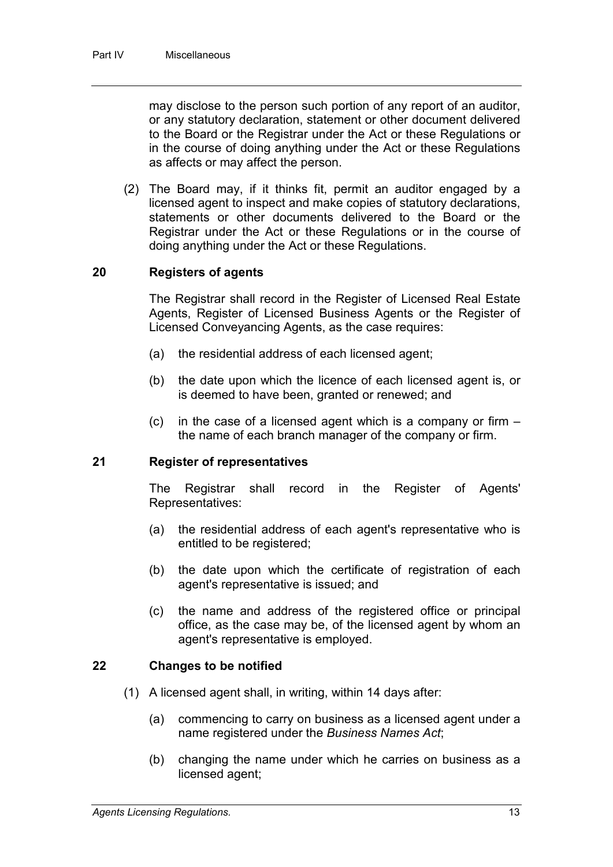may disclose to the person such portion of any report of an auditor, or any statutory declaration, statement or other document delivered to the Board or the Registrar under the Act or these Regulations or in the course of doing anything under the Act or these Regulations as affects or may affect the person.

(2) The Board may, if it thinks fit, permit an auditor engaged by a licensed agent to inspect and make copies of statutory declarations, statements or other documents delivered to the Board or the Registrar under the Act or these Regulations or in the course of doing anything under the Act or these Regulations.

### **20 Registers of agents**

The Registrar shall record in the Register of Licensed Real Estate Agents, Register of Licensed Business Agents or the Register of Licensed Conveyancing Agents, as the case requires:

- (a) the residential address of each licensed agent;
- (b) the date upon which the licence of each licensed agent is, or is deemed to have been, granted or renewed; and
- (c) in the case of a licensed agent which is a company or firm the name of each branch manager of the company or firm.

#### **21 Register of representatives**

The Registrar shall record in the Register of Agents' Representatives:

- (a) the residential address of each agent's representative who is entitled to be registered;
- (b) the date upon which the certificate of registration of each agent's representative is issued; and
- (c) the name and address of the registered office or principal office, as the case may be, of the licensed agent by whom an agent's representative is employed.

#### **22 Changes to be notified**

- (1) A licensed agent shall, in writing, within 14 days after:
	- (a) commencing to carry on business as a licensed agent under a name registered under the *Business Names Act*;
	- (b) changing the name under which he carries on business as a licensed agent;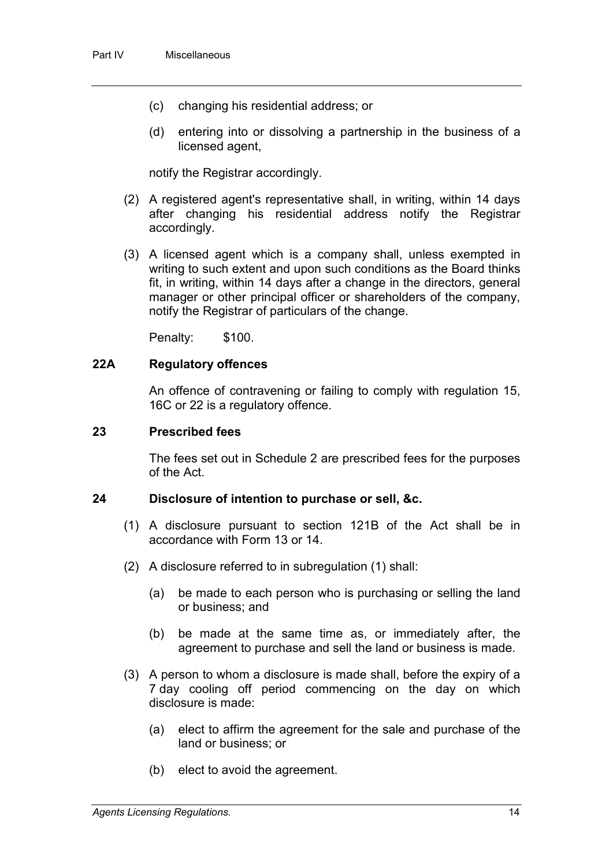- (c) changing his residential address; or
- (d) entering into or dissolving a partnership in the business of a licensed agent,

notify the Registrar accordingly.

- (2) A registered agent's representative shall, in writing, within 14 days after changing his residential address notify the Registrar accordingly.
- (3) A licensed agent which is a company shall, unless exempted in writing to such extent and upon such conditions as the Board thinks fit, in writing, within 14 days after a change in the directors, general manager or other principal officer or shareholders of the company, notify the Registrar of particulars of the change.

Penalty: \$100.

#### **22A Regulatory offences**

An offence of contravening or failing to comply with regulation 15, 16C or 22 is a regulatory offence.

#### **23 Prescribed fees**

The fees set out in Schedule 2 are prescribed fees for the purposes of the Act.

#### **24 Disclosure of intention to purchase or sell, &c.**

- (1) A disclosure pursuant to section 121B of the Act shall be in accordance with Form 13 or 14.
- (2) A disclosure referred to in subregulation (1) shall:
	- (a) be made to each person who is purchasing or selling the land or business; and
	- (b) be made at the same time as, or immediately after, the agreement to purchase and sell the land or business is made.
- (3) A person to whom a disclosure is made shall, before the expiry of a 7 day cooling off period commencing on the day on which disclosure is made:
	- (a) elect to affirm the agreement for the sale and purchase of the land or business; or
	- (b) elect to avoid the agreement.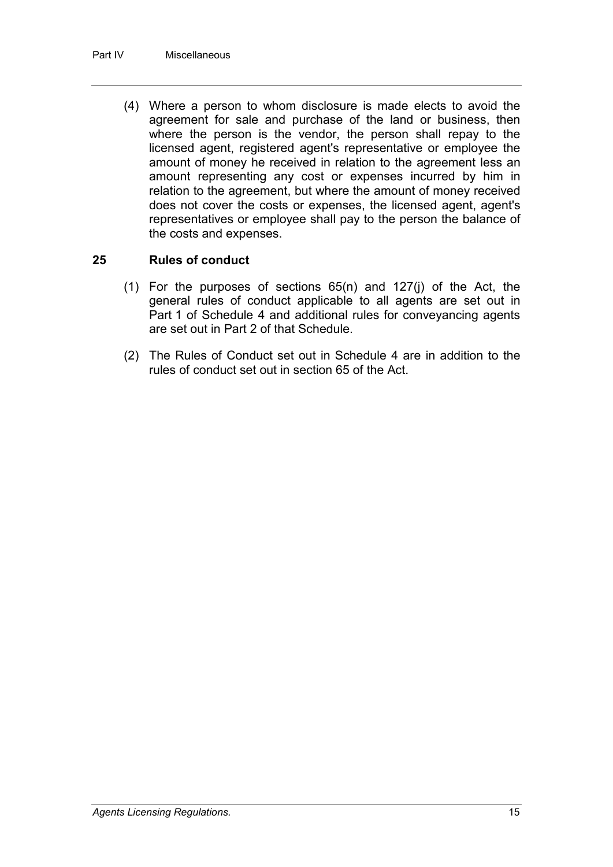(4) Where a person to whom disclosure is made elects to avoid the agreement for sale and purchase of the land or business, then where the person is the vendor, the person shall repay to the licensed agent, registered agent's representative or employee the amount of money he received in relation to the agreement less an amount representing any cost or expenses incurred by him in relation to the agreement, but where the amount of money received does not cover the costs or expenses, the licensed agent, agent's representatives or employee shall pay to the person the balance of the costs and expenses.

### **25 Rules of conduct**

- (1) For the purposes of sections 65(n) and 127(j) of the Act, the general rules of conduct applicable to all agents are set out in Part 1 of Schedule 4 and additional rules for conveyancing agents are set out in Part 2 of that Schedule.
- (2) The Rules of Conduct set out in Schedule 4 are in addition to the rules of conduct set out in section 65 of the Act.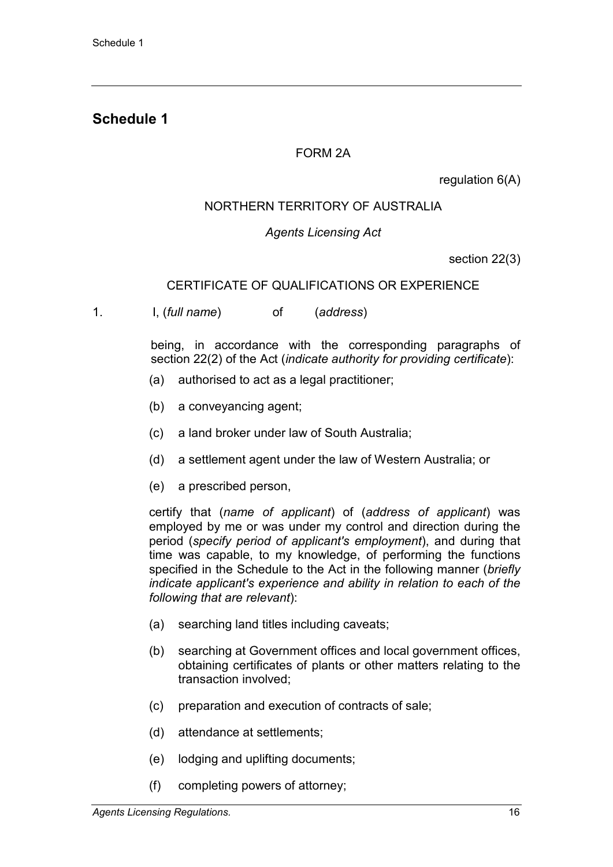## **Schedule 1**

## FORM 2A

regulation 6(A)

## NORTHERN TERRITORY OF AUSTRALIA

## *Agents Licensing Act*

section 22(3)

### CERTIFICATE OF QUALIFICATIONS OR EXPERIENCE

1. I, (*full name*) of (*address*)

being, in accordance with the corresponding paragraphs of section 22(2) of the Act (*indicate authority for providing certificate*):

- (a) authorised to act as a legal practitioner;
- (b) a conveyancing agent;
- (c) a land broker under law of South Australia;
- (d) a settlement agent under the law of Western Australia; or
- (e) a prescribed person,

certify that (*name of applicant*) of (*address of applicant*) was employed by me or was under my control and direction during the period (*specify period of applicant's employment*), and during that time was capable, to my knowledge, of performing the functions specified in the Schedule to the Act in the following manner (*briefly indicate applicant's experience and ability in relation to each of the following that are relevant*):

- (a) searching land titles including caveats;
- (b) searching at Government offices and local government offices, obtaining certificates of plants or other matters relating to the transaction involved;
- (c) preparation and execution of contracts of sale;
- (d) attendance at settlements;
- (e) lodging and uplifting documents;
- (f) completing powers of attorney;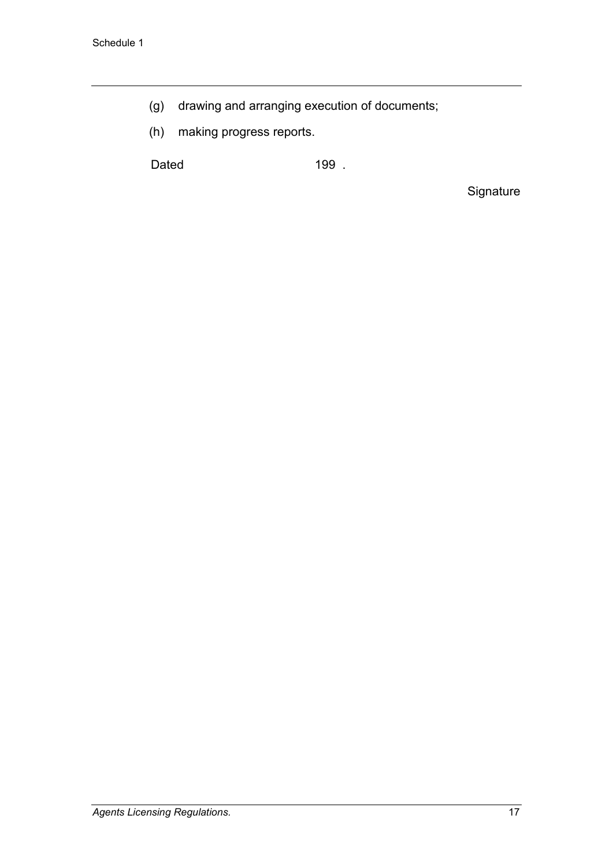- (g) drawing and arranging execution of documents;
- (h) making progress reports.

Dated 199 .

Signature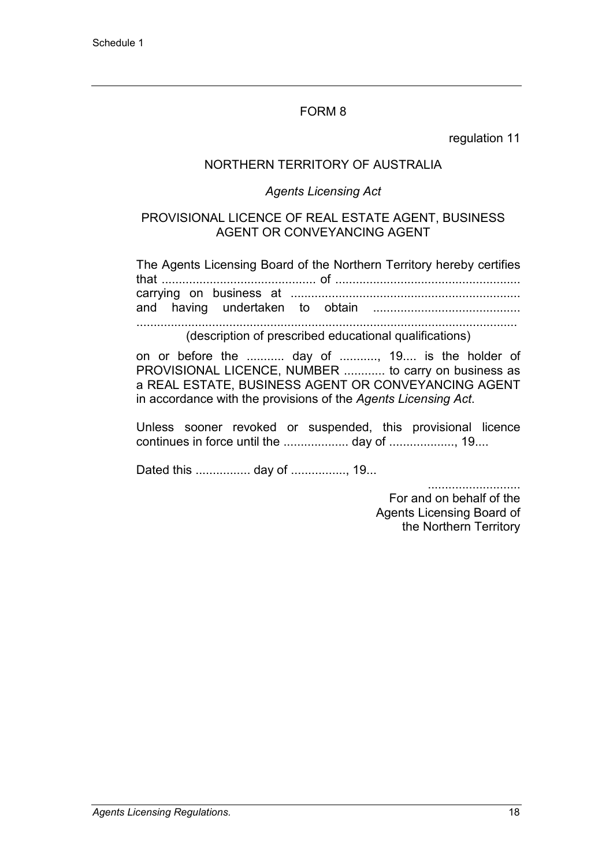regulation 11

### NORTHERN TERRITORY OF AUSTRALIA

#### *Agents Licensing Act*

#### PROVISIONAL LICENCE OF REAL ESTATE AGENT, BUSINESS AGENT OR CONVEYANCING AGENT

The Agents Licensing Board of the Northern Territory hereby certifies that ............................................. of ...................................................... carrying on business at ................................................................... and having undertaken to obtain ........................................... ...............................................................................................................

(description of prescribed educational qualifications)

on or before the ........... day of ..........., 19.... is the holder of PROVISIONAL LICENCE, NUMBER ............ to carry on business as a REAL ESTATE, BUSINESS AGENT OR CONVEYANCING AGENT in accordance with the provisions of the *Agents Licensing Act*.

Unless sooner revoked or suspended, this provisional licence continues in force until the ................... day of ..................., 19....

Dated this ................ day of ................, 19...

........................... For and on behalf of the Agents Licensing Board of the Northern Territory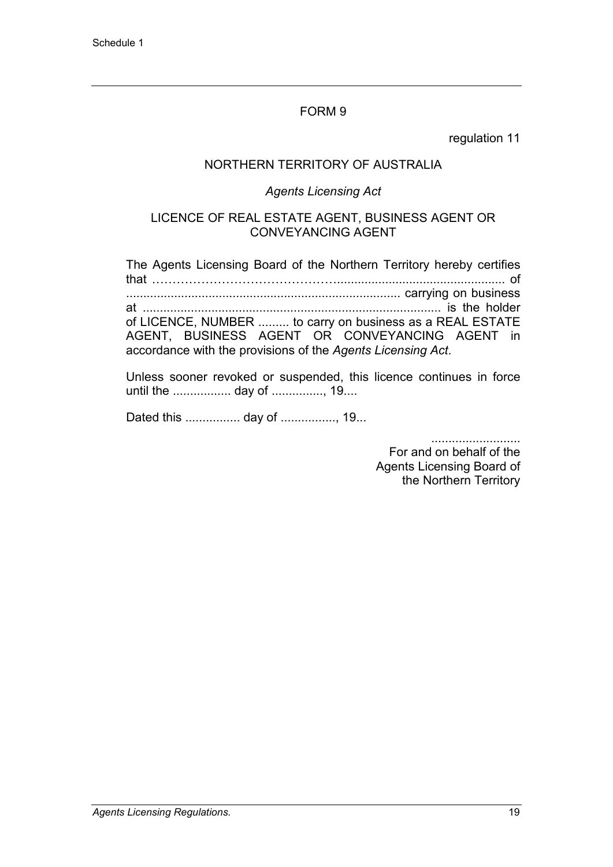regulation 11

## NORTHERN TERRITORY OF AUSTRALIA

### *Agents Licensing Act*

#### LICENCE OF REAL ESTATE AGENT, BUSINESS AGENT OR CONVEYANCING AGENT

The Agents Licensing Board of the Northern Territory hereby certifies that ………………………………………................................................. of ................................................................................ carrying on business at ....................................................................................... is the holder of LICENCE, NUMBER ......... to carry on business as a REAL ESTATE AGENT, BUSINESS AGENT OR CONVEYANCING AGENT in accordance with the provisions of the *Agents Licensing Act*.

Unless sooner revoked or suspended, this licence continues in force until the ................. day of ..............., 19....

Dated this ................ day of ................, 19...

..........................

For and on behalf of the Agents Licensing Board of the Northern Territory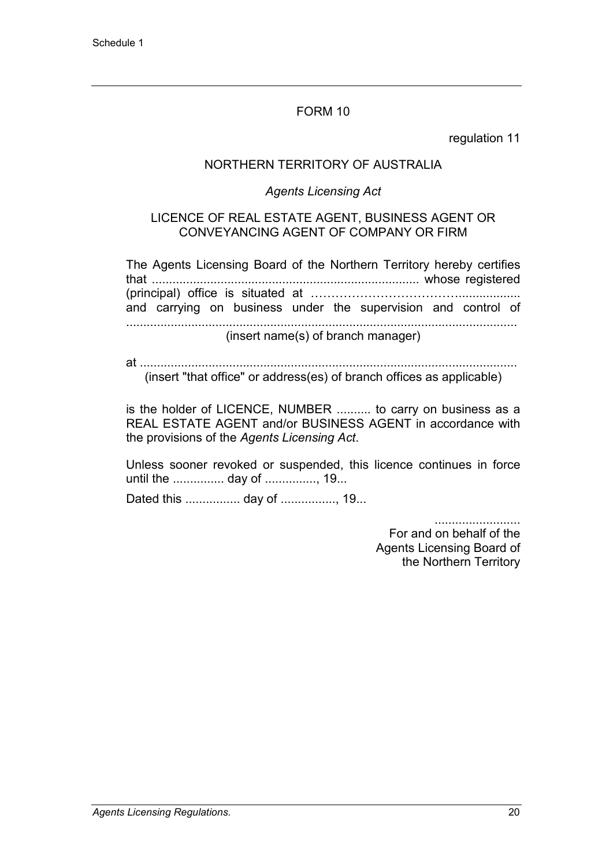regulation 11

### NORTHERN TERRITORY OF AUSTRALIA

#### *Agents Licensing Act*

#### LICENCE OF REAL ESTATE AGENT, BUSINESS AGENT OR CONVEYANCING AGENT OF COMPANY OR FIRM

The Agents Licensing Board of the Northern Territory hereby certifies that .............................................................................. whose registered (principal) office is situated at ……………………………….................. and carrying on business under the supervision and control of .................................................................................................................. (insert name(s) of branch manager)

at .............................................................................................................. (insert "that office" or address(es) of branch offices as applicable)

is the holder of LICENCE, NUMBER .......... to carry on business as a REAL ESTATE AGENT and/or BUSINESS AGENT in accordance with the provisions of the *Agents Licensing Act*.

Unless sooner revoked or suspended, this licence continues in force until the ............... day of ..............., 19...

Dated this ................ day of ................, 19...

.........................

For and on behalf of the Agents Licensing Board of the Northern Territory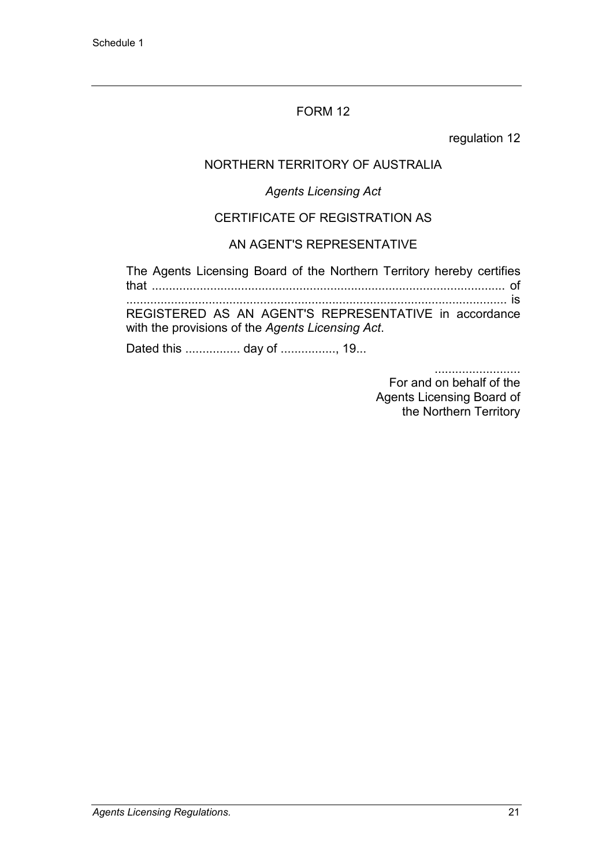regulation 12

## NORTHERN TERRITORY OF AUSTRALIA

## *Agents Licensing Act*

## CERTIFICATE OF REGISTRATION AS

## AN AGENT'S REPRESENTATIVE

The Agents Licensing Board of the Northern Territory hereby certifies that ....................................................................................................... of ............................................................................................................... is

REGISTERED AS AN AGENT'S REPRESENTATIVE in accordance with the provisions of the *Agents Licensing Act*.

Dated this ................ day of ................, 19...

.........................

For and on behalf of the Agents Licensing Board of the Northern Territory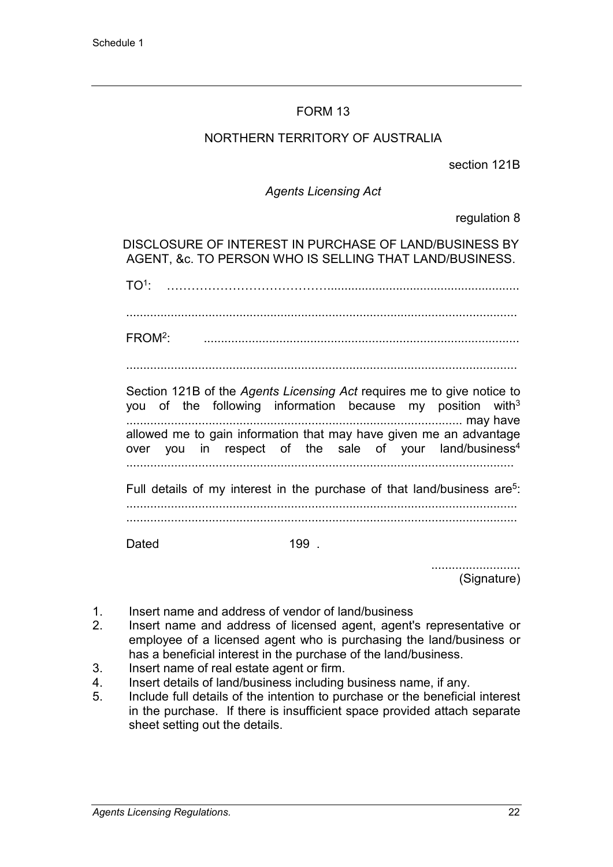## NORTHERN TERRITORY OF AUSTRALIA

section 121B

### *Agents Licensing Act*

regulation 8

DISCLOSURE OF INTEREST IN PURCHASE OF LAND/BUSINESS BY AGENT, &c. TO PERSON WHO IS SELLING THAT LAND/BUSINESS.

TO1: …………………………………........................................................

..................................................................................................................

FROM2: ............................................................................................

..................................................................................................................

Section 121B of the *Agents Licensing Act* requires me to give notice to you of the following information because my position with $3$ .................................................................................................. may have allowed me to gain information that may have given me an advantage over you in respect of the sale of your land/business<sup>4</sup> ................................................................................................................. Full details of my interest in the purchase of that land/business are<sup>5</sup>:

.................................................................................................................. ..................................................................................................................

Dated 199.

.......................... (Signature)

- 1. Insert name and address of vendor of land/business
- 2. Insert name and address of licensed agent, agent's representative or employee of a licensed agent who is purchasing the land/business or has a beneficial interest in the purchase of the land/business.
- 3. Insert name of real estate agent or firm.
- 4. Insert details of land/business including business name, if any.
- 5. Include full details of the intention to purchase or the beneficial interest in the purchase. If there is insufficient space provided attach separate sheet setting out the details.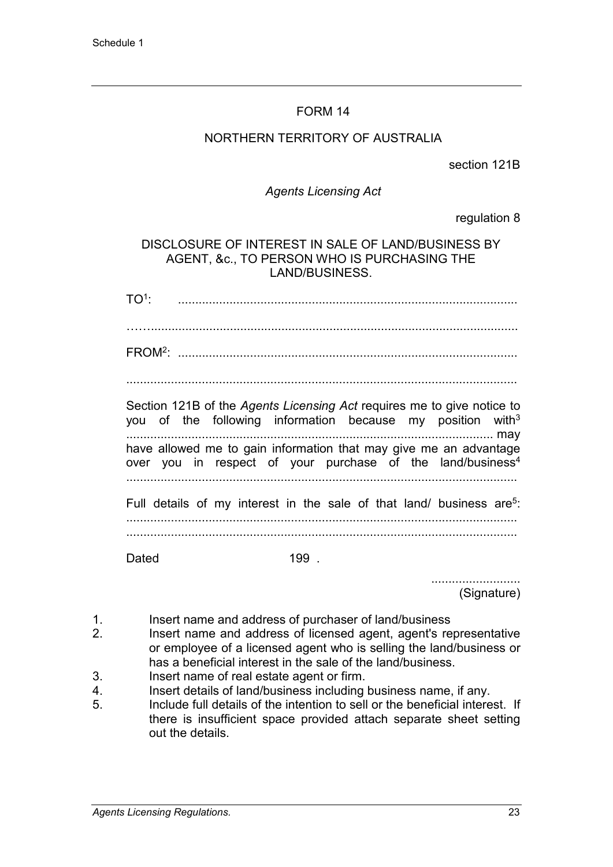### NORTHERN TERRITORY OF AUSTRALIA

section 121B

#### *Agents Licensing Act*

regulation 8

### DISCLOSURE OF INTEREST IN SALE OF LAND/BUSINESS BY AGENT, &c., TO PERSON WHO IS PURCHASING THE LAND/BUSINESS.

TO1: ...................................................................................................

……...........................................................................................................

FROM2: ...................................................................................................

..................................................................................................................

Section 121B of the *Agents Licensing Act* requires me to give notice to you of the following information because my position with<sup>3</sup> ........................................................................................................... may have allowed me to gain information that may give me an advantage over you in respect of your purchase of the land/business<sup>4</sup> ..................................................................................................................

Full details of my interest in the sale of that land/ business are<sup>5</sup>: ..................................................................................................................

Dated 199.

.......................... (Signature)

- 1. Insert name and address of purchaser of land/business
- 2. Insert name and address of licensed agent, agent's representative or employee of a licensed agent who is selling the land/business or has a beneficial interest in the sale of the land/business.
- 3. Insert name of real estate agent or firm.
- 4. Insert details of land/business including business name, if any.<br>5. Include full details of the intention to sell or the beneficial intere
- Include full details of the intention to sell or the beneficial interest. If there is insufficient space provided attach separate sheet setting out the details.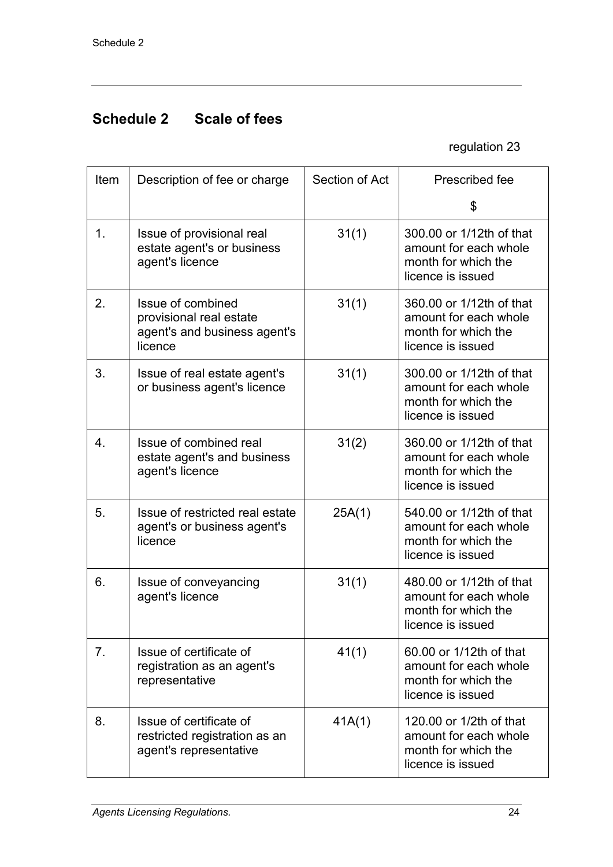# **Schedule 2 Scale of fees**

regulation 23

|                     | Item | Description of fee or charge                                                       | Section of Act | Prescribed fee                                                                                |
|---------------------|------|------------------------------------------------------------------------------------|----------------|-----------------------------------------------------------------------------------------------|
|                     |      |                                                                                    |                | \$                                                                                            |
| 1.<br>2.<br>licence |      | Issue of provisional real<br>estate agent's or business<br>agent's licence         | 31(1)          | 300.00 or 1/12th of that<br>amount for each whole<br>month for which the<br>licence is issued |
|                     |      | Issue of combined<br>provisional real estate<br>agent's and business agent's       | 31(1)          | 360.00 or 1/12th of that<br>amount for each whole<br>month for which the<br>licence is issued |
|                     | 3.   | Issue of real estate agent's<br>or business agent's licence                        | 31(1)          | 300.00 or 1/12th of that<br>amount for each whole<br>month for which the<br>licence is issued |
|                     | 4.   | Issue of combined real<br>estate agent's and business<br>agent's licence           | 31(2)          | 360.00 or 1/12th of that<br>amount for each whole<br>month for which the<br>licence is issued |
| 5.<br>licence       |      | Issue of restricted real estate<br>agent's or business agent's                     | 25A(1)         | 540.00 or 1/12th of that<br>amount for each whole<br>month for which the<br>licence is issued |
|                     | 6.   | Issue of conveyancing<br>agent's licence                                           | 31(1)          | 480.00 or 1/12th of that<br>amount for each whole<br>month for which the<br>licence is issued |
|                     | 7.   | Issue of certificate of<br>registration as an agent's<br>representative            | 41(1)          | 60.00 or 1/12th of that<br>amount for each whole<br>month for which the<br>licence is issued  |
|                     | 8.   | Issue of certificate of<br>restricted registration as an<br>agent's representative | 41A(1)         | 120,00 or 1/2th of that<br>amount for each whole<br>month for which the<br>licence is issued  |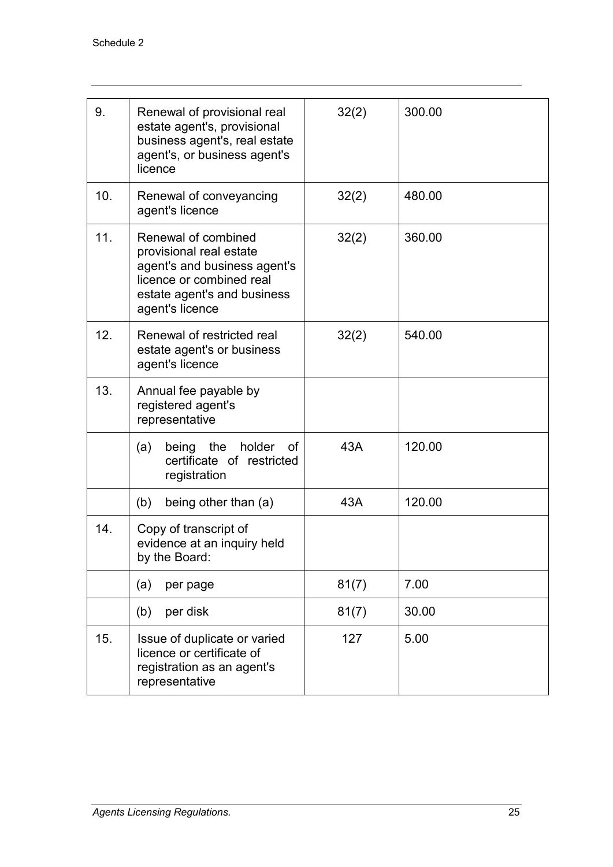| 9.  | Renewal of provisional real<br>estate agent's, provisional<br>business agent's, real estate<br>agent's, or business agent's<br>licence                       | 32(2) | 300.00 |
|-----|--------------------------------------------------------------------------------------------------------------------------------------------------------------|-------|--------|
| 10. | Renewal of conveyancing<br>agent's licence                                                                                                                   | 32(2) | 480.00 |
| 11. | Renewal of combined<br>provisional real estate<br>agent's and business agent's<br>licence or combined real<br>estate agent's and business<br>agent's licence | 32(2) | 360.00 |
| 12. | Renewal of restricted real<br>estate agent's or business<br>agent's licence                                                                                  | 32(2) | 540.00 |
| 13. | Annual fee payable by<br>registered agent's<br>representative                                                                                                |       |        |
|     | being the<br>holder<br>(a)<br>of .<br>certificate of restricted<br>registration                                                                              | 43A   | 120.00 |
|     | being other than (a)<br>(b)                                                                                                                                  | 43A   | 120.00 |
| 14. | Copy of transcript of<br>evidence at an inquiry held<br>by the Board:                                                                                        |       |        |
|     | (a)<br>per page                                                                                                                                              | 81(7) | 7.00   |
|     | per disk<br>(b)                                                                                                                                              | 81(7) | 30.00  |
| 15. | Issue of duplicate or varied<br>licence or certificate of<br>registration as an agent's<br>representative                                                    | 127   | 5.00   |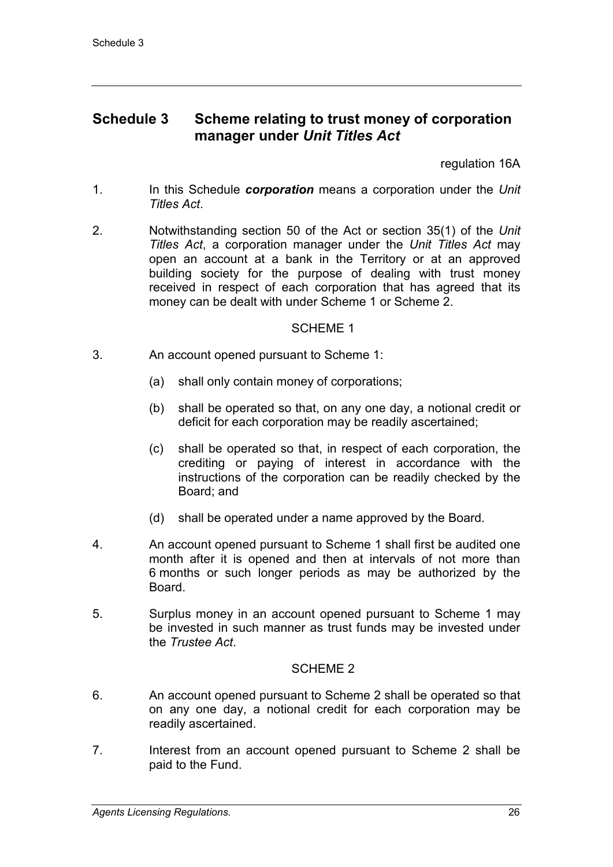## **Schedule 3 Scheme relating to trust money of corporation manager under** *Unit Titles Act*

regulation 16A

- 1. In this Schedule *corporation* means a corporation under the *Unit Titles Act*.
- 2. Notwithstanding section 50 of the Act or section 35(1) of the *Unit Titles Act*, a corporation manager under the *Unit Titles Act* may open an account at a bank in the Territory or at an approved building society for the purpose of dealing with trust money received in respect of each corporation that has agreed that its money can be dealt with under Scheme 1 or Scheme 2.

### SCHEME 1

- 3. An account opened pursuant to Scheme 1:
	- (a) shall only contain money of corporations;
	- (b) shall be operated so that, on any one day, a notional credit or deficit for each corporation may be readily ascertained;
	- (c) shall be operated so that, in respect of each corporation, the crediting or paying of interest in accordance with the instructions of the corporation can be readily checked by the Board; and
	- (d) shall be operated under a name approved by the Board.
- 4. An account opened pursuant to Scheme 1 shall first be audited one month after it is opened and then at intervals of not more than 6 months or such longer periods as may be authorized by the Board.
- 5. Surplus money in an account opened pursuant to Scheme 1 may be invested in such manner as trust funds may be invested under the *Trustee Act*.

#### SCHEME 2

- 6. An account opened pursuant to Scheme 2 shall be operated so that on any one day, a notional credit for each corporation may be readily ascertained.
- 7. Interest from an account opened pursuant to Scheme 2 shall be paid to the Fund.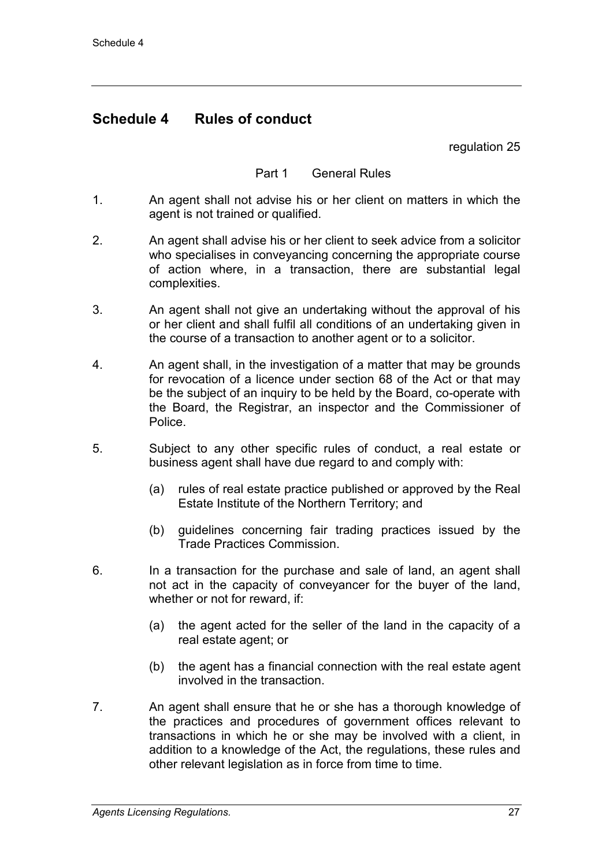## **Schedule 4 Rules of conduct**

regulation 25

### Part 1 General Rules

- 1. An agent shall not advise his or her client on matters in which the agent is not trained or qualified.
- 2. An agent shall advise his or her client to seek advice from a solicitor who specialises in conveyancing concerning the appropriate course of action where, in a transaction, there are substantial legal complexities.
- 3. An agent shall not give an undertaking without the approval of his or her client and shall fulfil all conditions of an undertaking given in the course of a transaction to another agent or to a solicitor.
- 4. An agent shall, in the investigation of a matter that may be grounds for revocation of a licence under section 68 of the Act or that may be the subject of an inquiry to be held by the Board, co-operate with the Board, the Registrar, an inspector and the Commissioner of Police.
- 5. Subject to any other specific rules of conduct, a real estate or business agent shall have due regard to and comply with:
	- (a) rules of real estate practice published or approved by the Real Estate Institute of the Northern Territory; and
	- (b) guidelines concerning fair trading practices issued by the Trade Practices Commission.
- 6. In a transaction for the purchase and sale of land, an agent shall not act in the capacity of conveyancer for the buyer of the land, whether or not for reward, if:
	- (a) the agent acted for the seller of the land in the capacity of a real estate agent; or
	- (b) the agent has a financial connection with the real estate agent involved in the transaction.
- 7. An agent shall ensure that he or she has a thorough knowledge of the practices and procedures of government offices relevant to transactions in which he or she may be involved with a client, in addition to a knowledge of the Act, the regulations, these rules and other relevant legislation as in force from time to time.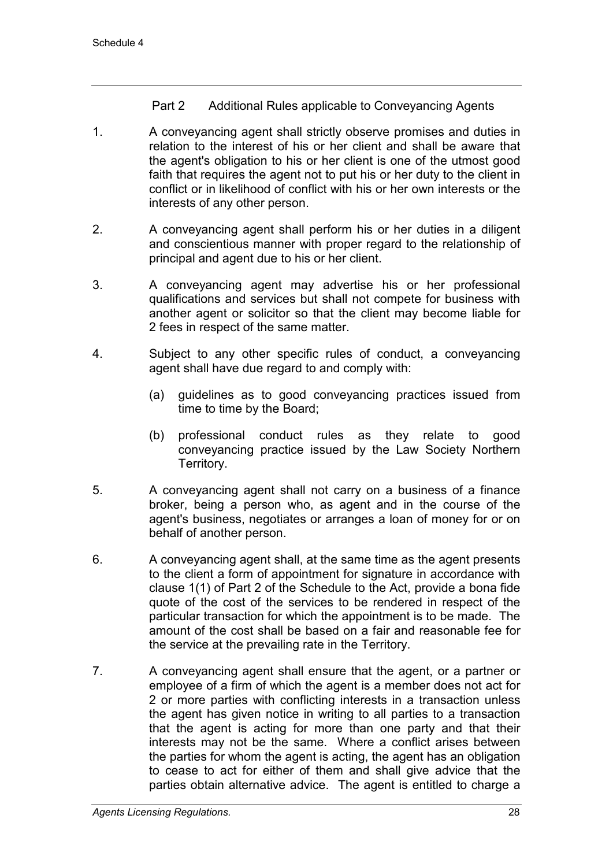### Part 2 Additional Rules applicable to Conveyancing Agents

- 1. A conveyancing agent shall strictly observe promises and duties in relation to the interest of his or her client and shall be aware that the agent's obligation to his or her client is one of the utmost good faith that requires the agent not to put his or her duty to the client in conflict or in likelihood of conflict with his or her own interests or the interests of any other person.
- 2. A conveyancing agent shall perform his or her duties in a diligent and conscientious manner with proper regard to the relationship of principal and agent due to his or her client.
- 3. A conveyancing agent may advertise his or her professional qualifications and services but shall not compete for business with another agent or solicitor so that the client may become liable for 2 fees in respect of the same matter.
- 4. Subject to any other specific rules of conduct, a conveyancing agent shall have due regard to and comply with:
	- (a) guidelines as to good conveyancing practices issued from time to time by the Board;
	- (b) professional conduct rules as they relate to good conveyancing practice issued by the Law Society Northern Territory.
- 5. A conveyancing agent shall not carry on a business of a finance broker, being a person who, as agent and in the course of the agent's business, negotiates or arranges a loan of money for or on behalf of another person.
- 6. A conveyancing agent shall, at the same time as the agent presents to the client a form of appointment for signature in accordance with clause 1(1) of Part 2 of the Schedule to the Act, provide a bona fide quote of the cost of the services to be rendered in respect of the particular transaction for which the appointment is to be made. The amount of the cost shall be based on a fair and reasonable fee for the service at the prevailing rate in the Territory.
- 7. A conveyancing agent shall ensure that the agent, or a partner or employee of a firm of which the agent is a member does not act for 2 or more parties with conflicting interests in a transaction unless the agent has given notice in writing to all parties to a transaction that the agent is acting for more than one party and that their interests may not be the same. Where a conflict arises between the parties for whom the agent is acting, the agent has an obligation to cease to act for either of them and shall give advice that the parties obtain alternative advice. The agent is entitled to charge a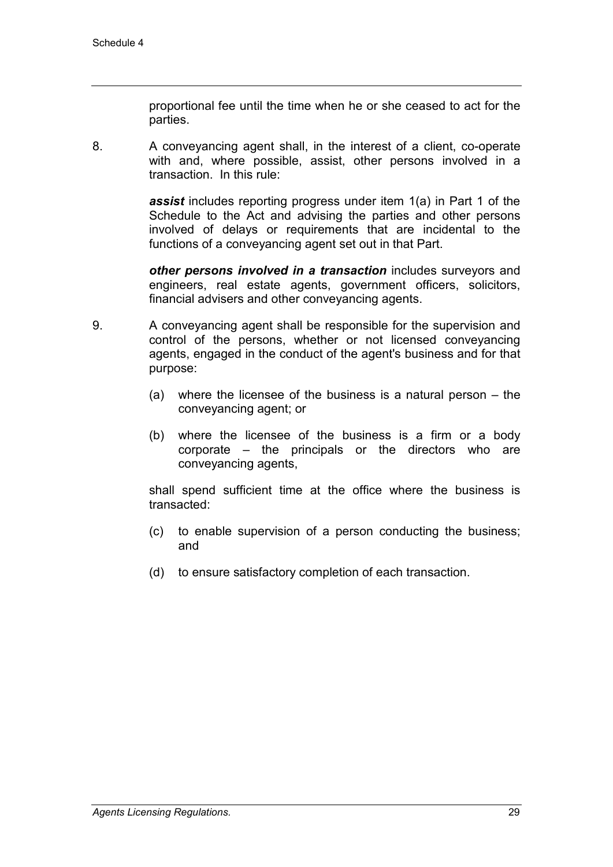proportional fee until the time when he or she ceased to act for the parties.

8. A conveyancing agent shall, in the interest of a client, co-operate with and, where possible, assist, other persons involved in a transaction. In this rule:

> *assist* includes reporting progress under item 1(a) in Part 1 of the Schedule to the Act and advising the parties and other persons involved of delays or requirements that are incidental to the functions of a conveyancing agent set out in that Part.

> *other persons involved in a transaction* includes surveyors and engineers, real estate agents, government officers, solicitors, financial advisers and other conveyancing agents.

- 9. A conveyancing agent shall be responsible for the supervision and control of the persons, whether or not licensed conveyancing agents, engaged in the conduct of the agent's business and for that purpose:
	- (a) where the licensee of the business is a natural person the conveyancing agent; or
	- (b) where the licensee of the business is a firm or a body corporate – the principals or the directors who are conveyancing agents,

shall spend sufficient time at the office where the business is transacted:

- (c) to enable supervision of a person conducting the business; and
- (d) to ensure satisfactory completion of each transaction.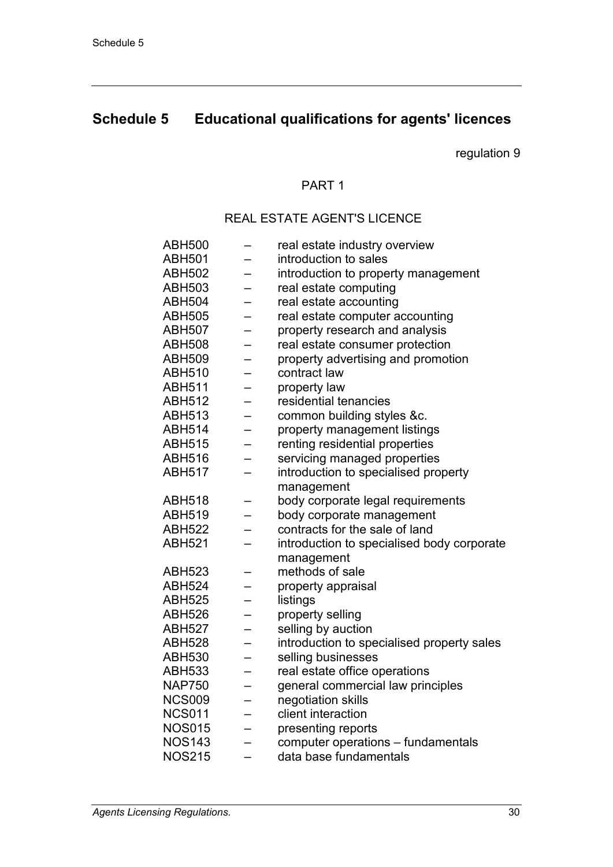# **Schedule 5 Educational qualifications for agents' licences**

regulation 9

#### PART 1

## REAL ESTATE AGENT'S LICENCE

| ABH500        |                          | real estate industry overview              |
|---------------|--------------------------|--------------------------------------------|
| ABH501        |                          | introduction to sales                      |
| ABH502        |                          | introduction to property management        |
| ABH503        |                          | real estate computing                      |
| ABH504        |                          | real estate accounting                     |
| <b>ABH505</b> |                          | real estate computer accounting            |
| ABH507        | $\overline{\phantom{0}}$ | property research and analysis             |
| <b>ABH508</b> |                          | real estate consumer protection            |
| ABH509        | $\overline{\phantom{0}}$ | property advertising and promotion         |
| <b>ABH510</b> |                          | contract law                               |
| ABH511        |                          | property law                               |
| <b>ABH512</b> |                          | residential tenancies                      |
| <b>ABH513</b> |                          | common building styles &c.                 |
| <b>ABH514</b> |                          | property management listings               |
| ABH515        |                          | renting residential properties             |
| <b>ABH516</b> |                          | servicing managed properties               |
| ABH517        |                          | introduction to specialised property       |
|               |                          | management                                 |
| ABH518        |                          | body corporate legal requirements          |
| ABH519        |                          | body corporate management                  |
| ABH522        |                          | contracts for the sale of land             |
| <b>ABH521</b> |                          | introduction to specialised body corporate |
|               |                          | management                                 |
| ABH523        |                          | methods of sale                            |
| <b>ABH524</b> | —                        | property appraisal                         |
| ABH525        |                          | listings                                   |
| ABH526        | -                        | property selling                           |
| ABH527        |                          | selling by auction                         |
| ABH528        |                          | introduction to specialised property sales |
| ABH530        |                          | selling businesses                         |
| ABH533        |                          | real estate office operations              |
| <b>NAP750</b> |                          | general commercial law principles          |
| <b>NCS009</b> | —                        | negotiation skills                         |
| <b>NCS011</b> |                          | client interaction                         |
| <b>NOS015</b> | $\overline{\phantom{0}}$ | presenting reports                         |
| <b>NOS143</b> |                          | computer operations - fundamentals         |
| <b>NOS215</b> |                          | data base fundamentals                     |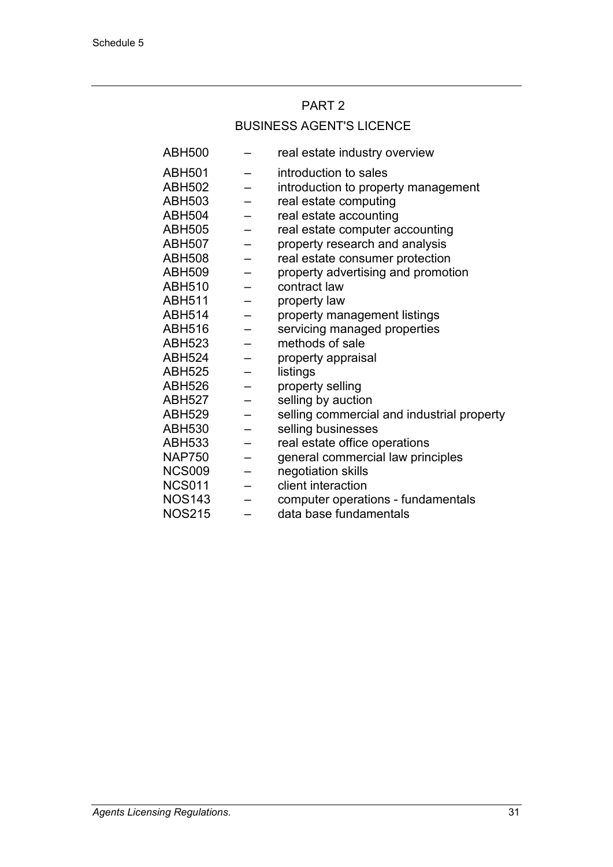## PART 2

## BUSINESS AGENT'S LICENCE

| ABH500        |                          | real estate industry overview              |
|---------------|--------------------------|--------------------------------------------|
| <b>ABH501</b> |                          | introduction to sales                      |
| <b>ABH502</b> |                          | introduction to property management        |
| <b>ABH503</b> |                          | real estate computing                      |
| <b>ABH504</b> |                          | real estate accounting                     |
| <b>ABH505</b> |                          | real estate computer accounting            |
| <b>ABH507</b> |                          | property research and analysis             |
| <b>ABH508</b> |                          | real estate consumer protection            |
| <b>ABH509</b> |                          | property advertising and promotion         |
| <b>ABH510</b> |                          | contract law                               |
| <b>ABH511</b> | —                        | property law                               |
| <b>ABH514</b> |                          | property management listings               |
| <b>ABH516</b> |                          | servicing managed properties               |
| <b>ABH523</b> |                          | methods of sale                            |
| <b>ABH524</b> |                          | property appraisal                         |
| <b>ABH525</b> |                          | listings                                   |
| <b>ABH526</b> | $\overline{\phantom{m}}$ | property selling                           |
| <b>ABH527</b> | $\qquad \qquad -$        | selling by auction                         |
| <b>ABH529</b> |                          | selling commercial and industrial property |
| <b>ABH530</b> | $\overline{\phantom{0}}$ | selling businesses                         |
| <b>ABH533</b> |                          | real estate office operations              |
| <b>NAP750</b> |                          | general commercial law principles          |
| <b>NCS009</b> | $\equiv$                 | negotiation skills                         |
| <b>NCS011</b> |                          | client interaction                         |
| <b>NOS143</b> |                          | computer operations - fundamentals         |
| <b>NOS215</b> |                          | data base fundamentals                     |
|               |                          |                                            |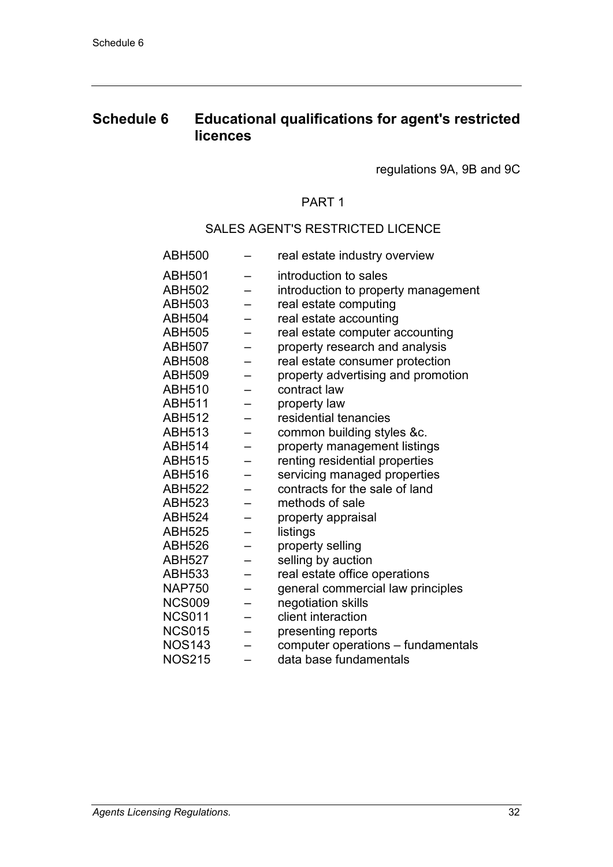## **Schedule 6 Educational qualifications for agent's restricted licences**

regulations 9A, 9B and 9C

## PART 1

#### SALES AGENT'S RESTRICTED LICENCE

| <b>ABH500</b> | real estate industry overview       |
|---------------|-------------------------------------|
| <b>ABH501</b> | introduction to sales               |
| <b>ABH502</b> | introduction to property management |
| <b>ABH503</b> | real estate computing               |
| <b>ABH504</b> | real estate accounting              |
| <b>ABH505</b> | real estate computer accounting     |
| <b>ABH507</b> | property research and analysis      |
| <b>ABH508</b> | real estate consumer protection     |
| <b>ABH509</b> | property advertising and promotion  |
| <b>ABH510</b> | contract law                        |
| <b>ABH511</b> | property law                        |
| <b>ABH512</b> | residential tenancies               |
| <b>ABH513</b> | common building styles &c.          |
| <b>ABH514</b> | property management listings        |
| <b>ABH515</b> | renting residential properties      |
| <b>ABH516</b> | servicing managed properties        |
| <b>ABH522</b> | contracts for the sale of land      |
| <b>ABH523</b> | methods of sale                     |
| <b>ABH524</b> | property appraisal                  |
| <b>ABH525</b> | listings                            |
| <b>ABH526</b> | property selling                    |
| <b>ABH527</b> | selling by auction                  |
| <b>ABH533</b> | real estate office operations       |
| <b>NAP750</b> | general commercial law principles   |
| <b>NCS009</b> | negotiation skills                  |
| <b>NCS011</b> | client interaction                  |
| <b>NCS015</b> | presenting reports                  |
| <b>NOS143</b> | computer operations - fundamentals  |
| <b>NOS215</b> | data base fundamentals              |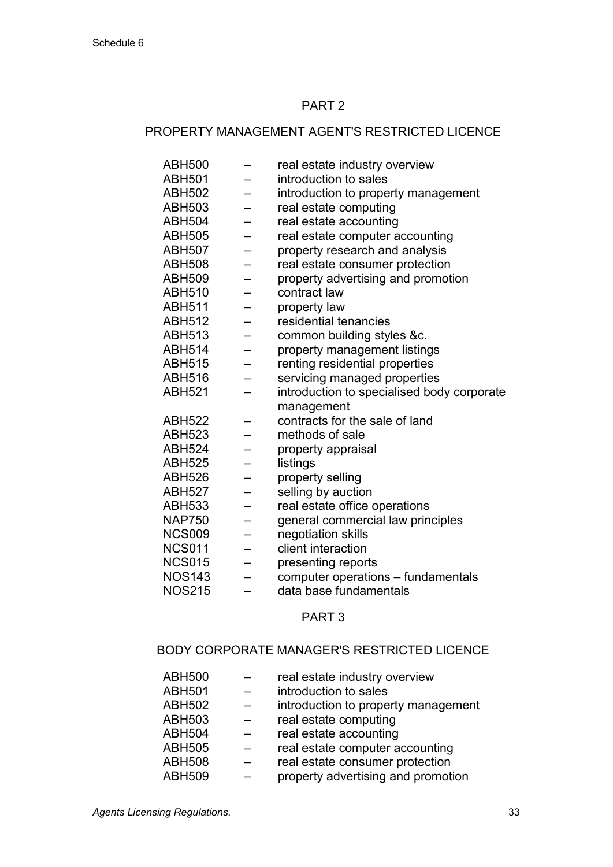#### PART 2

### PROPERTY MANAGEMENT AGENT'S RESTRICTED LICENCE

| <b>ABH500</b> |                          | real estate industry overview              |
|---------------|--------------------------|--------------------------------------------|
| <b>ABH501</b> |                          | introduction to sales                      |
| ABH502        |                          | introduction to property management        |
| ABH503        |                          | real estate computing                      |
| <b>ABH504</b> |                          | real estate accounting                     |
| ABH505        |                          | real estate computer accounting            |
| ABH507        | —                        | property research and analysis             |
| <b>ABH508</b> | —                        | real estate consumer protection            |
| ABH509        | —                        | property advertising and promotion         |
| ABH510        |                          | contract law                               |
| ABH511        |                          | property law                               |
| ABH512        |                          | residential tenancies                      |
| ABH513        | —                        | common building styles &c.                 |
| ABH514        |                          | property management listings               |
| ABH515        |                          | renting residential properties             |
| ABH516        |                          | servicing managed properties               |
| ABH521        |                          | introduction to specialised body corporate |
|               |                          | management                                 |
| ABH522        |                          | contracts for the sale of land             |
| <b>ABH523</b> |                          | methods of sale                            |
| ABH524        |                          | property appraisal                         |
| ABH525        | —                        | listings                                   |
| <b>ABH526</b> | —                        | property selling                           |
| ABH527        |                          | selling by auction                         |
| ABH533        | —                        | real estate office operations              |
| <b>NAP750</b> |                          | general commercial law principles          |
| <b>NCS009</b> | —                        | negotiation skills                         |
| <b>NCS011</b> | —                        | client interaction                         |
| <b>NCS015</b> | $\equiv$                 | presenting reports                         |
| <b>NOS143</b> | $\overline{\phantom{0}}$ | computer operations - fundamentals         |
| <b>NOS215</b> |                          | data base fundamentals                     |
|               |                          |                                            |

#### PART 3

## BODY CORPORATE MANAGER'S RESTRICTED LICENCE

| <b>ABH500</b><br><b>ABH501</b> | real estate industry overview<br>introduction to sales |
|--------------------------------|--------------------------------------------------------|
| <b>ABH502</b>                  | introduction to property management                    |
| <b>ABH503</b>                  | real estate computing                                  |
| <b>ABH504</b>                  | real estate accounting                                 |
| <b>ABH505</b>                  | real estate computer accounting                        |
| <b>ABH508</b>                  | real estate consumer protection                        |
| <b>ABH509</b>                  | property advertising and promotion                     |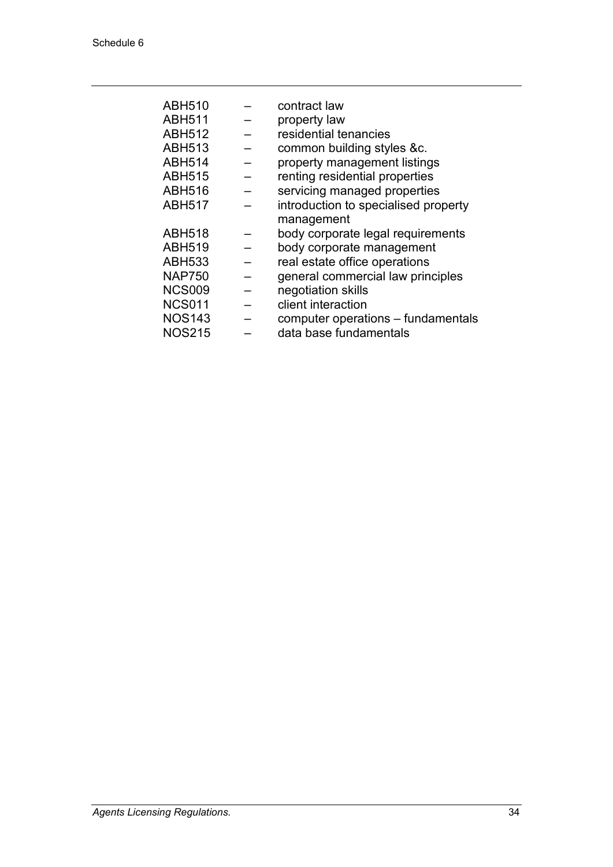| <b>ABH510</b> | contract law                         |
|---------------|--------------------------------------|
| <b>ABH511</b> | property law                         |
| <b>ABH512</b> | residential tenancies                |
| <b>ABH513</b> | common building styles &c.           |
| <b>ABH514</b> | property management listings         |
| <b>ABH515</b> | renting residential properties       |
| <b>ABH516</b> | servicing managed properties         |
| <b>ABH517</b> | introduction to specialised property |
|               | management                           |
| <b>ABH518</b> | body corporate legal requirements    |
| <b>ABH519</b> | body corporate management            |
| <b>ABH533</b> | real estate office operations        |
| <b>NAP750</b> | general commercial law principles    |
| <b>NCS009</b> | negotiation skills                   |
| <b>NCS011</b> | client interaction                   |
| <b>NOS143</b> | computer operations – fundamentals   |
| <b>NOS215</b> | data base fundamentals               |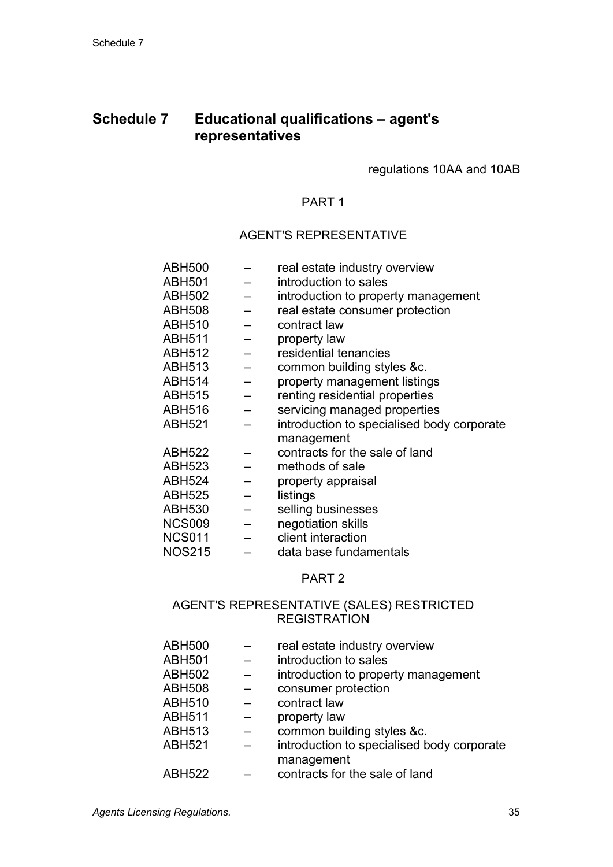## **Schedule 7 Educational qualifications – agent's representatives**

regulations 10AA and 10AB

## PART 1

#### AGENT'S REPRESENTATIVE

| ABH500        |                          | real estate industry overview              |
|---------------|--------------------------|--------------------------------------------|
| ABH501        |                          | introduction to sales                      |
| ABH502        | $\overline{\phantom{0}}$ | introduction to property management        |
| <b>ABH508</b> | $\overline{\phantom{0}}$ | real estate consumer protection            |
| ABH510        | $\overline{\phantom{0}}$ | contract law                               |
| ABH511        | $\overline{\phantom{0}}$ | property law                               |
| <b>ABH512</b> |                          | residential tenancies                      |
| ABH513        | $\overline{a}$           | common building styles &c.                 |
| ABH514        | $\overline{\phantom{0}}$ | property management listings               |
| ABH515        | $\qquad \qquad -$        | renting residential properties             |
| ABH516        | $\qquad \qquad -$        | servicing managed properties               |
| ABH521        |                          | introduction to specialised body corporate |
|               |                          | management                                 |
| ABH522        |                          | contracts for the sale of land             |
| ABH523        |                          | methods of sale                            |
| ABH524        |                          | property appraisal                         |
| <b>ABH525</b> | $\equiv$                 | listings                                   |
| ABH530        | $\equiv$                 | selling businesses                         |
| <b>NCS009</b> | $\equiv$                 | negotiation skills                         |
| <b>NCS011</b> | $\overline{\phantom{m}}$ | client interaction                         |
| <b>NOS215</b> |                          | data base fundamentals                     |

#### PART 2

## AGENT'S REPRESENTATIVE (SALES) RESTRICTED REGISTRATION

| <b>ABH500</b> | real estate industry overview              |
|---------------|--------------------------------------------|
| <b>ABH501</b> | introduction to sales                      |
| <b>ABH502</b> | introduction to property management        |
| <b>ABH508</b> | consumer protection                        |
| <b>ABH510</b> | contract law                               |
| <b>ABH511</b> | property law                               |
| <b>ABH513</b> | common building styles &c.                 |
| <b>ABH521</b> | introduction to specialised body corporate |
|               | management                                 |
| <b>ABH522</b> | contracts for the sale of land             |
|               |                                            |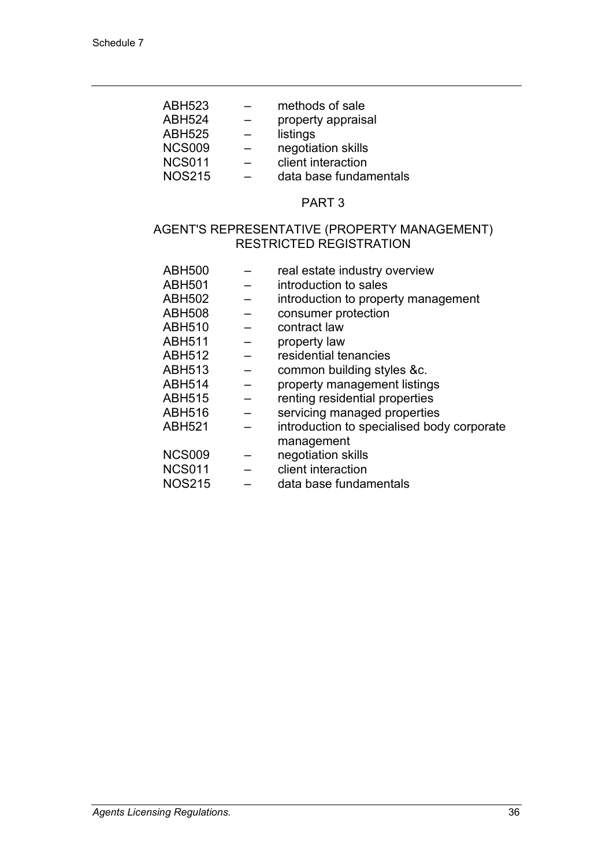| methods of sale        |
|------------------------|
| property appraisal     |
| listings               |
| negotiation skills     |
| client interaction     |
| data base fundamentals |
|                        |

#### PART 3

### AGENT'S REPRESENTATIVE (PROPERTY MANAGEMENT) RESTRICTED REGISTRATION

| <b>ABH500</b> |                          | real estate industry overview              |
|---------------|--------------------------|--------------------------------------------|
| <b>ABH501</b> |                          | introduction to sales                      |
| <b>ABH502</b> |                          | introduction to property management        |
| <b>ABH508</b> |                          | consumer protection                        |
| <b>ABH510</b> |                          | contract law                               |
| ABH511        | $\qquad \qquad -$        | property law                               |
| <b>ABH512</b> |                          | residential tenancies                      |
| ABH513        |                          | common building styles &c.                 |
| <b>ABH514</b> |                          | property management listings               |
| ABH515        | $\overline{\phantom{0}}$ | renting residential properties             |
| ABH516        |                          | servicing managed properties               |
| <b>ABH521</b> |                          | introduction to specialised body corporate |
|               |                          | management                                 |
| <b>NCS009</b> |                          | negotiation skills                         |
| <b>NCS011</b> | $\overline{\phantom{m}}$ | client interaction                         |
| <b>NOS215</b> |                          | data base fundamentals                     |
|               |                          |                                            |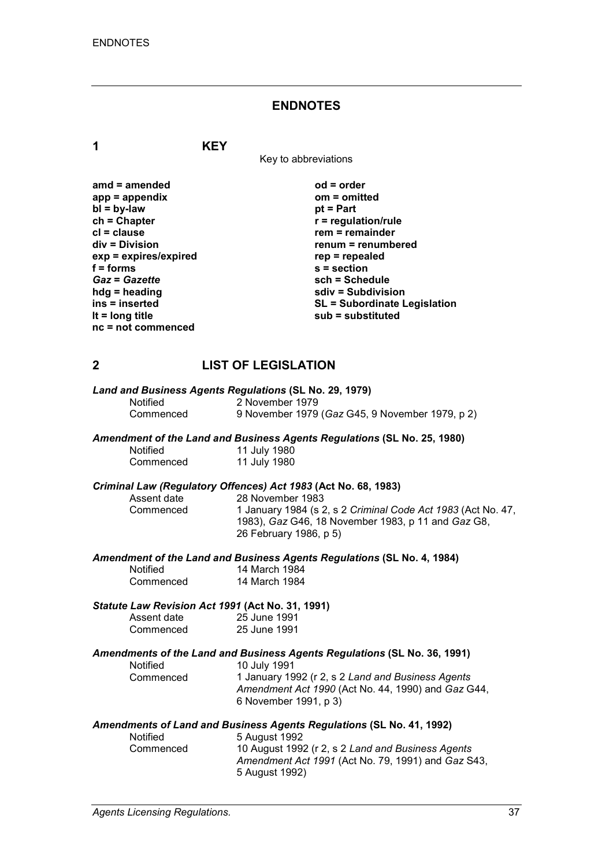#### **ENDNOTES**

**1 KEY**

Key to abbreviations

| $amd = amended$       | $od = order$                        |
|-----------------------|-------------------------------------|
| $app = appendix$      | $om = omitted$                      |
| $bl = by-law$         | $pt = Part$                         |
| $ch = Chapter$        | $r =$ regulation/rule               |
| $cl = clause$         | $rem = remainder$                   |
| div = Division        | renum = renumbered                  |
| exp = expires/expired | $rep = repeated$                    |
| $f =$ forms           | $s =$ section                       |
| <b>Gaz = Gazette</b>  | sch = Schedule                      |
| $hdg =$ heading       | sdiv = Subdivision                  |
| ins = inserted        | <b>SL = Subordinate Legislation</b> |
| It = $long$ title     | $sub =$ substituted                 |
| $nc = not$ commenced  |                                     |

## **2 LIST OF LEGISLATION**

| Land and Business Agents Regulations (SL No. 29, 1979) |                                                 |  |  |
|--------------------------------------------------------|-------------------------------------------------|--|--|
| <b>Notified</b>                                        | 2 November 1979                                 |  |  |
| Commenced                                              | 9 November 1979 (Gaz G45, 9 November 1979, p 2) |  |  |

#### *Amendment of the Land and Business Agents Regulations* **(SL No. 25, 1980)**

| Notified  | 11 July 1980 |
|-----------|--------------|
| Commenced | 11 July 1980 |

# *Criminal Law (Regulatory Offences) Act 1983* **(Act No. 68, 1983)**

Assent date 28 November 1983<br>Commenced 1 January 1984 (s 2 1 January 1984 (s 2, s 2 *Criminal Code Act 1983* (Act No. 47, 1983), *Gaz* G46, 18 November 1983, p 11 and *Gaz* G8, 26 February 1986, p 5)

*Amendment of the Land and Business Agents Regulations* **(SL No. 4, 1984)**

| Notified  | 14 March 1984 |
|-----------|---------------|
| Commenced | 14 March 1984 |

#### *Statute Law Revision Act 1991* **(Act No. 31, 1991)**

| Assent date | 25 June 1991 |
|-------------|--------------|
| Commenced   | 25 June 1991 |

#### *Amendments of the Land and Business Agents Regulations* **(SL No. 36, 1991)**

| Notified  | 10 July 1991                                                                                            |
|-----------|---------------------------------------------------------------------------------------------------------|
| Commenced | 1 January 1992 (r 2, s 2 Land and Business Agents<br>Amendment Act 1990 (Act No. 44, 1990) and Gaz G44, |
|           |                                                                                                         |
|           | 6 November 1991, p 3)                                                                                   |

#### *Amendments of Land and Business Agents Regulations* **(SL No. 41, 1992)**

| <b>Notified</b> | 5 August 1992                                      |
|-----------------|----------------------------------------------------|
| Commenced       | 10 August 1992 (r 2, s 2 Land and Business Agents  |
|                 | Amendment Act 1991 (Act No. 79, 1991) and Gaz S43, |
|                 | 5 August 1992)                                     |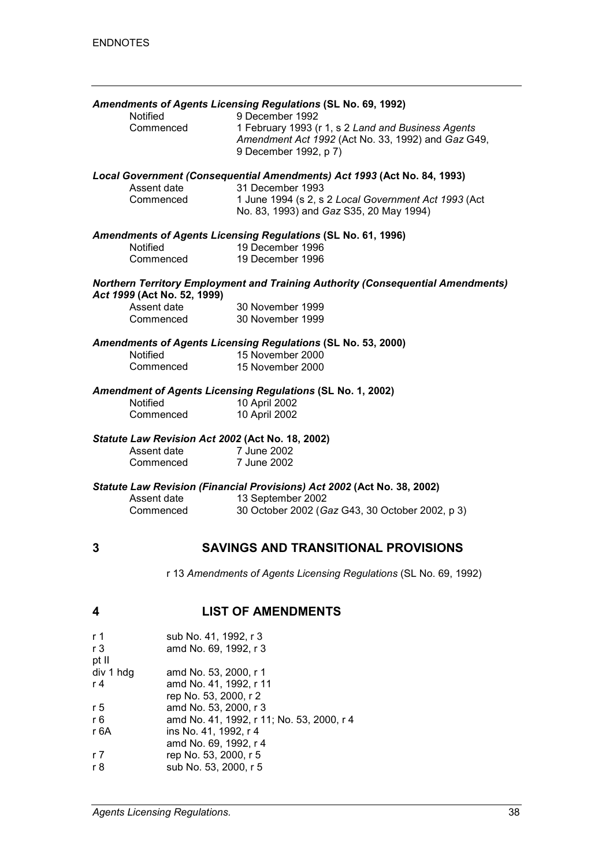|                                                                                                       |                                                 | Amendments of Agents Licensing Regulations (SL No. 69, 1992)                            |  |
|-------------------------------------------------------------------------------------------------------|-------------------------------------------------|-----------------------------------------------------------------------------------------|--|
|                                                                                                       | Notified                                        | 9 December 1992                                                                         |  |
|                                                                                                       | Commenced                                       | 1 February 1993 (r 1, s 2 Land and Business Agents                                      |  |
|                                                                                                       |                                                 | Amendment Act 1992 (Act No. 33, 1992) and Gaz G49,                                      |  |
|                                                                                                       |                                                 | 9 December 1992, p 7)                                                                   |  |
| Local Government (Consequential Amendments) Act 1993 (Act No. 84, 1993)                               |                                                 |                                                                                         |  |
|                                                                                                       | Assent date<br>Commenced                        | 31 December 1993<br>1 June 1994 (s 2, s 2 Local Government Act 1993 (Act                |  |
|                                                                                                       |                                                 | No. 83, 1993) and Gaz S35, 20 May 1994)                                                 |  |
|                                                                                                       |                                                 | <b>Amendments of Agents Licensing Regulations (SL No. 61, 1996)</b><br>19 December 1996 |  |
|                                                                                                       | Notified<br>Commenced                           | 19 December 1996                                                                        |  |
|                                                                                                       |                                                 |                                                                                         |  |
|                                                                                                       | Act 1999 (Act No. 52, 1999)                     | <b>Northern Territory Employment and Training Authority (Consequential Amendments)</b>  |  |
|                                                                                                       | Assent date                                     | 30 November 1999                                                                        |  |
|                                                                                                       | Commenced                                       | 30 November 1999                                                                        |  |
| Amendments of Agents Licensing Regulations (SL No. 53, 2000)                                          |                                                 |                                                                                         |  |
|                                                                                                       | Notified                                        | 15 November 2000                                                                        |  |
|                                                                                                       | Commenced                                       | 15 November 2000                                                                        |  |
| <b>Amendment of Agents Licensing Regulations (SL No. 1, 2002)</b><br><b>Notified</b><br>10 April 2002 |                                                 |                                                                                         |  |
|                                                                                                       | Commenced                                       | 10 April 2002                                                                           |  |
|                                                                                                       |                                                 |                                                                                         |  |
|                                                                                                       |                                                 | Statute Law Revision Act 2002 (Act No. 18, 2002)                                        |  |
| Assent date                                                                                           |                                                 | 7 June 2002                                                                             |  |
|                                                                                                       | Commenced                                       | 7 June 2002                                                                             |  |
| Statute Law Revision (Financial Provisions) Act 2002 (Act No. 38, 2002)                               |                                                 |                                                                                         |  |
|                                                                                                       | Assent date                                     | 13 September 2002                                                                       |  |
|                                                                                                       | Commenced                                       | 30 October 2002 (Gaz G43, 30 October 2002, p 3)                                         |  |
|                                                                                                       |                                                 |                                                                                         |  |
| 3                                                                                                     | <b>SAVINGS AND TRANSITIONAL PROVISIONS</b>      |                                                                                         |  |
|                                                                                                       |                                                 | r 13 Amendments of Agents Licensing Regulations (SL No. 69, 1992)                       |  |
| 4                                                                                                     |                                                 | <b>LIST OF AMENDMENTS</b>                                                               |  |
|                                                                                                       |                                                 |                                                                                         |  |
| r 1                                                                                                   | sub No. 41, 1992, r 3                           |                                                                                         |  |
| r <sub>3</sub>                                                                                        | amd No. 69, 1992, r 3                           |                                                                                         |  |
| pt II                                                                                                 |                                                 |                                                                                         |  |
| div 1 hdg<br>r 4                                                                                      | amd No. 53, 2000, r 1<br>amd No. 41, 1992, r 11 |                                                                                         |  |

rep No. 53, 2000, r 2

sub No. 53, 2000, r 5

r 6 amd No. 41, 1992, r 11; No. 53, 2000, r 4<br>r 6A ins No. 41, 1992, r 4 ins No. 41, 1992, r 4 amd No. 69, 1992, r 4

r 5 amd No. 53, 2000, r 3

r 7 rep No. 53, 2000, r 5<br>r 8 sub No. 53, 2000, r 5